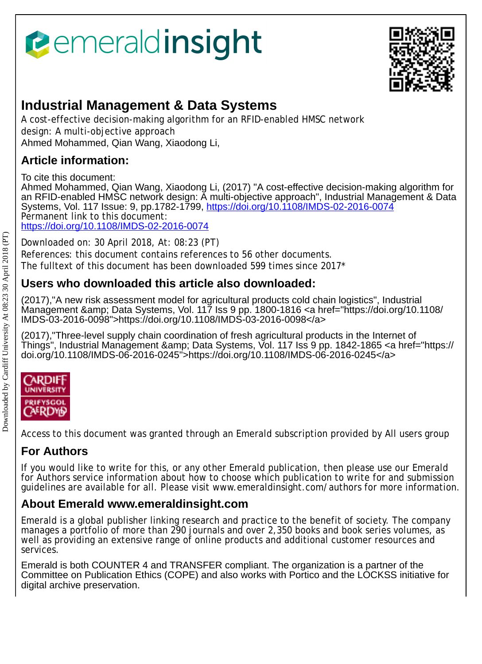# *<u><b>e*emeraldinsight</u>



## **Industrial Management & Data Systems**

A cost-effective decision-making algorithm for an RFID-enabled HMSC network design: A multi-objective approach Ahmed Mohammed, Qian Wang, Xiaodong Li,

## **Article information:**

To cite this document:

Ahmed Mohammed, Qian Wang, Xiaodong Li, (2017) "A cost-effective decision-making algorithm for an RFID-enabled HMSC network design: A multi-objective approach", Industrial Management & Data Systems, Vol. 117 Issue: 9, pp.1782-1799,<https://doi.org/10.1108/IMDS-02-2016-0074> Permanent link to this document: <https://doi.org/10.1108/IMDS-02-2016-0074>

Downloaded on: 30 April 2018, At: 08:23 (PT)

References: this document contains references to 56 other documents. The fulltext of this document has been downloaded 599 times since 2017\*

## **Users who downloaded this article also downloaded:**

(2017),"A new risk assessment model for agricultural products cold chain logistics", Industrial Management &amp; Data Systems, Vol. 117 Iss 9 pp. 1800-1816 <a href="https://doi.org/10.1108/ IMDS-03-2016-0098">https://doi.org/10.1108/IMDS-03-2016-0098</a>

(2017),"Three-level supply chain coordination of fresh agricultural products in the Internet of Things", Industrial Management & amp; Data Systems, Vol. 117 Iss 9 pp. 1842-1865 < a href="https:// doi.org/10.1108/IMDS-06-2016-0245">https://doi.org/10.1108/IMDS-06-2016-0245</a>



Access to this document was granted through an Emerald subscription provided by All users group

## **For Authors**

If you would like to write for this, or any other Emerald publication, then please use our Emerald for Authors service information about how to choose which publication to write for and submission guidelines are available for all. Please visit www.emeraldinsight.com/authors for more information.

## **About Emerald www.emeraldinsight.com**

Emerald is a global publisher linking research and practice to the benefit of society. The company manages a portfolio of more than 290 journals and over 2,350 books and book series volumes, as well as providing an extensive range of online products and additional customer resources and services.

Emerald is both COUNTER 4 and TRANSFER compliant. The organization is a partner of the Committee on Publication Ethics (COPE) and also works with Portico and the LOCKSS initiative for digital archive preservation.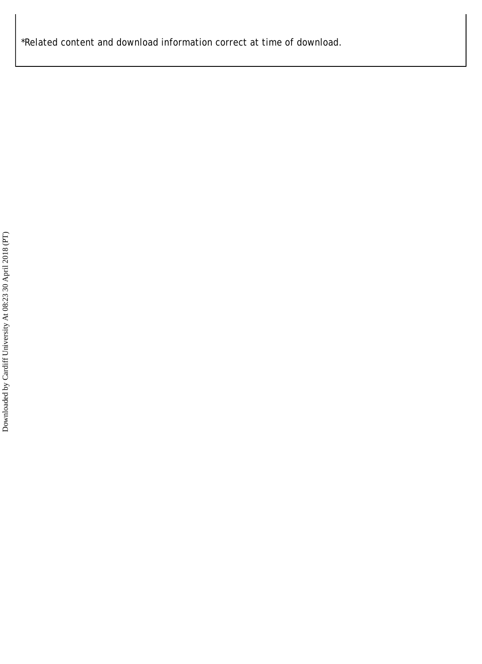\*Related content and download information correct at time of download.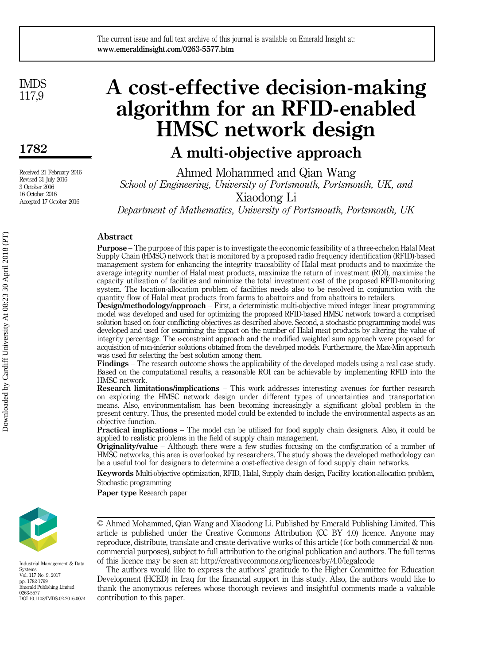IMDS 117,9

1782

Received 21 February 2016 Revised 31 July 2016 3 October 2016 16 October 2016 Accepted 17 October 2016

## A cost-effective decision-making algorithm for an RFID-enabled HMSC network design

## A multi-objective approach

Ahmed Mohammed and Qian Wang School of Engineering, University of Portsmouth, Portsmouth, UK, and

Xiaodong Li

Department of Mathematics, University of Portsmouth, Portsmouth, UK

#### Abstract

Purpose – The purpose of this paper is to investigate the economic feasibility of a three-echelon Halal Meat Supply Chain (HMSC) network that is monitored by a proposed radio frequency identification (RFID)-based management system for enhancing the integrity traceability of Halal meat products and to maximize the average integrity number of Halal meat products, maximize the return of investment (ROI), maximize the capacity utilization of facilities and minimize the total investment cost of the proposed RFID-monitoring system. The location-allocation problem of facilities needs also to be resolved in conjunction with the quantity flow of Halal meat products from farms to abattoirs and from abattoirs to retailers.

Design/methodology/approach – First, a deterministic multi-objective mixed integer linear programming model was developed and used for optimizing the proposed RFID-based HMSC network toward a comprised solution based on four conflicting objectives as described above. Second, a stochastic programming model was developed and used for examining the impact on the number of Halal meat products by altering the value of integrity percentage. The ε-constraint approach and the modified weighted sum approach were proposed for acquisition of non-inferior solutions obtained from the developed models. Furthermore, the Max-Min approach was used for selecting the best solution among them.

Findings – The research outcome shows the applicability of the developed models using a real case study. Based on the computational results, a reasonable ROI can be achievable by implementing RFID into the HMSC network.

Research limitations/implications – This work addresses interesting avenues for further research on exploring the HMSC network design under different types of uncertainties and transportation means. Also, environmentalism has been becoming increasingly a significant global problem in the present century. Thus, the presented model could be extended to include the environmental aspects as an objective function.

Practical implications – The model can be utilized for food supply chain designers. Also, it could be applied to realistic problems in the field of supply chain management.

Originality/value – Although there were a few studies focusing on the configuration of a number of HMSC networks, this area is overlooked by researchers. The study shows the developed methodology can be a useful tool for designers to determine a cost-effective design of food supply chain networks.

Keywords Multi-objective optimization, RFID, Halal, Supply chain design, Facility location-allocation problem, Stochastic programming

Paper type Research paper



Industrial Management & Data Systems Vol. 117 No. 9, 2017 pp. 1782-1799 Emerald Publishing Limited 0263-5577 DOI 10.1108/IMDS-02-2016-0074

The authors would like to express the authors' gratitude to the Higher Committee for Education Development (HCED) in Iraq for the financial support in this study. Also, the authors would like to thank the anonymous referees whose thorough reviews and insightful comments made a valuable contribution to this paper.

<sup>©</sup> Ahmed Mohammed, Qian Wang and Xiaodong Li. Published by Emerald Publishing Limited. This article is published under the Creative Commons Attribution (CC BY 4.0) licence. Anyone may reproduce, distribute, translate and create derivative works of this article ( for both commercial & noncommercial purposes), subject to full attribution to the original publication and authors. The full terms of this licence may be seen at:<http://creativecommons.org/licences/by/4.0/legalcode>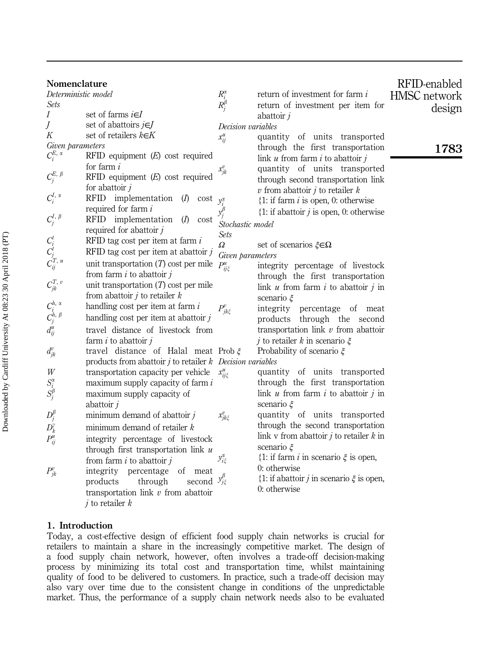| Nomenclature<br>Deterministic model                      |                                                               |                                 | return of investment for farm i                     | RFID-enabled<br><b>HMSC</b> network |
|----------------------------------------------------------|---------------------------------------------------------------|---------------------------------|-----------------------------------------------------|-------------------------------------|
| <b>Sets</b>                                              |                                                               | $R_i^{\alpha}$<br>$R_i^{\beta}$ | return of investment per item for                   |                                     |
| $\overline{I}$                                           | set of farms $i \in I$                                        |                                 | abattoir $j$                                        | design                              |
|                                                          | set of abattoirs $j \in J$                                    | Decision variables              |                                                     |                                     |
| K                                                        | set of retailers $k \in K$                                    | $x_{ii}^u$                      | quantity of units transported                       |                                     |
| Given parameters                                         |                                                               |                                 | through the first transportation                    |                                     |
| $C_i^{E, \alpha}$                                        | RFID equipment $(E)$ cost required                            |                                 | link $u$ from farm $i$ to abattoir $j$              | 1783                                |
|                                                          | for farm $i$                                                  | $x_{jk}^v$                      | quantity of units transported                       |                                     |
| $C_j^{E, \beta}$                                         | RFID equipment $(E)$ cost required                            |                                 | through second transportation link                  |                                     |
|                                                          | for abattoir $j$                                              |                                 | $v$ from abattoir $j$ to retailer $k$               |                                     |
| $C_i^{I, \alpha}$                                        | RFID implementation<br>(I)<br>cost                            | $v^{\alpha}$                    | $\{1:$ if farm i is open, 0: otherwise              |                                     |
|                                                          | required for farm $i$                                         | $y_i^t$                         | $\{1:$ if abattoir <i>j</i> is open, 0: otherwise   |                                     |
|                                                          | RFID implementation<br>(D)<br>cost                            | Stochastic model                |                                                     |                                     |
|                                                          | required for abattoir $j$                                     | <b>Sets</b>                     |                                                     |                                     |
|                                                          | RFID tag cost per item at farm $i$                            | Ω                               | set of scenarios $\xi \in \Omega$                   |                                     |
|                                                          | RFID tag cost per item at abattoir $j$                        | Given parameters                |                                                     |                                     |
| $\begin{array}{c} C_i^t\\ C_j^t\\ C_{ij}^T. \end{array}$ | unit transportation $(T)$ cost per mile                       | $P_{ij\xi}^u$                   | integrity percentage of livestock                   |                                     |
|                                                          | from farm $i$ to abattoir $j$                                 |                                 | through the first transportation                    |                                     |
| $C_{jk}^{T,\;v}$                                         | unit transportation $(T)$ cost per mile                       |                                 | link $u$ from farm $i$ to abattoir $j$ in           |                                     |
|                                                          | from abattoir $j$ to retailer $k$                             |                                 | scenario $\xi$                                      |                                     |
|                                                          | handling cost per item at farm $i$                            | $P_{jk\xi}^v$                   | integrity<br>percentage of meat                     |                                     |
| $C_{i}^{h, \alpha}$<br>$C_{j}^{h, \beta}$                | handling cost per item at abattoir $j$                        |                                 | products through the second                         |                                     |
| $d_{ij}^u$                                               | travel distance of livestock from                             |                                 | transportation link $v$ from abattoir               |                                     |
|                                                          | farm $i$ to abattoir $j$                                      |                                 | j to retailer k in scenario $\xi$                   |                                     |
| $d_{jk}^v$                                               | travel distance of Halal meat Prob $\xi$                      |                                 | Probability of scenario $\xi$                       |                                     |
|                                                          | products from abattoir $j$ to retailer $k$ Decision variables |                                 |                                                     |                                     |
| W                                                        | transportation capacity per vehicle                           | $x_{ii}^u$                      | quantity of units transported                       |                                     |
| $S_i^{\alpha}$                                           | maximum supply capacity of farm $i$                           |                                 | through the first transportation                    |                                     |
| $S_j^{\beta}$                                            | maximum supply capacity of                                    |                                 | link $u$ from farm $i$ to abattoir $j$ in           |                                     |
|                                                          | abattoir $j$                                                  |                                 | scenario $\xi$                                      |                                     |
| $D_j^{\beta}$                                            | minimum demand of abattoir $j$                                | $x_{jk\xi}^v$                   | quantity of units transported                       |                                     |
| $D_k^{\boldsymbol{\gamma}}$                              | minimum demand of retailer $k$                                |                                 | through the second transportation                   |                                     |
| $P_{ij}^u$                                               | integrity percentage of livestock                             |                                 | link v from abattoir $j$ to retailer $k$ in         |                                     |
|                                                          | through first transportation link $\boldsymbol{u}$            |                                 | scenario $\xi$                                      |                                     |
|                                                          | from farm $i$ to abattoir $j$                                 | $y_{i\zeta}^{\alpha}$           | {1: if farm i in scenario $\xi$ is open,            |                                     |
| $P_{jk}^v$                                               | percentage of<br>integrity<br>meat                            |                                 | 0: otherwise                                        |                                     |
|                                                          | second $y_{j\xi}$<br>products<br>through                      |                                 | {1: if abattoir <i>j</i> in scenario $\xi$ is open, |                                     |
|                                                          | transportation link $v$ from abattoir                         |                                 | 0: otherwise                                        |                                     |
|                                                          | <i>i</i> to retailer $k$                                      |                                 |                                                     |                                     |
|                                                          |                                                               |                                 |                                                     |                                     |

#### 1. Introduction

Today, a cost-effective design of efficient food supply chain networks is crucial for retailers to maintain a share in the increasingly competitive market. The design of a food supply chain network, however, often involves a trade-off decision-making process by minimizing its total cost and transportation time, whilst maintaining quality of food to be delivered to customers. In practice, such a trade-off decision may also vary over time due to the consistent change in conditions of the unpredictable market. Thus, the performance of a supply chain network needs also to be evaluated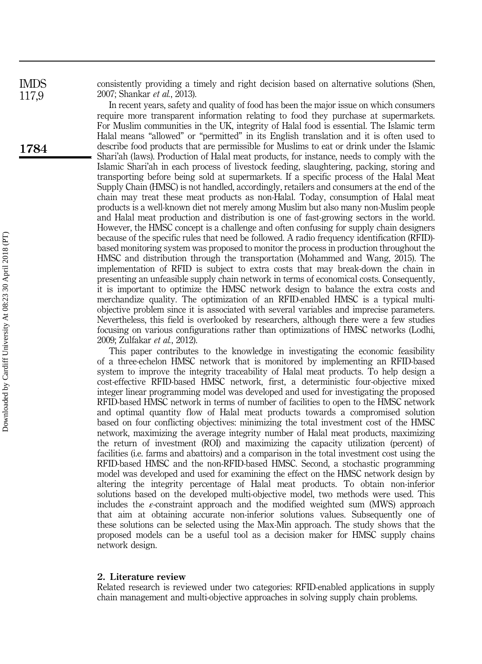consistently providing a timely and right decision based on alternative solutions (Shen, 2007; Shankar et al., 2013).

In recent years, safety and quality of food has been the major issue on which consumers require more transparent information relating to food they purchase at supermarkets. For Muslim communities in the UK, integrity of Halal food is essential. The Islamic term Halal means "allowed" or "permitted" in its English translation and it is often used to describe food products that are permissible for Muslims to eat or drink under the Islamic Shari'ah (laws). Production of Halal meat products, for instance, needs to comply with the Islamic Shari'ah in each process of livestock feeding, slaughtering, packing, storing and transporting before being sold at supermarkets. If a specific process of the Halal Meat Supply Chain (HMSC) is not handled, accordingly, retailers and consumers at the end of the chain may treat these meat products as non-Halal. Today, consumption of Halal meat products is a well-known diet not merely among Muslim but also many non-Muslim people and Halal meat production and distribution is one of fast-growing sectors in the world. However, the HMSC concept is a challenge and often confusing for supply chain designers because of the specific rules that need be followed. A radio frequency identification (RFID) based monitoring system was proposed to monitor the process in production throughout the HMSC and distribution through the transportation (Mohammed and Wang, 2015). The implementation of RFID is subject to extra costs that may break-down the chain in presenting an unfeasible supply chain network in terms of economical costs. Consequently, it is important to optimize the HMSC network design to balance the extra costs and merchandize quality. The optimization of an RFID-enabled HMSC is a typical multiobjective problem since it is associated with several variables and imprecise parameters. Nevertheless, this field is overlooked by researchers, although there were a few studies focusing on various configurations rather than optimizations of HMSC networks (Lodhi, 2009; Zulfakar et al., 2012).

This paper contributes to the knowledge in investigating the economic feasibility of a three-echelon HMSC network that is monitored by implementing an RFID-based system to improve the integrity traceability of Halal meat products. To help design a cost-effective RFID-based HMSC network, first, a deterministic four-objective mixed integer linear programming model was developed and used for investigating the proposed RFID-based HMSC network in terms of number of facilities to open to the HMSC network and optimal quantity flow of Halal meat products towards a compromised solution based on four conflicting objectives: minimizing the total investment cost of the HMSC network, maximizing the average integrity number of Halal meat products, maximizing the return of investment (ROI) and maximizing the capacity utilization (percent) of facilities (i.e. farms and abattoirs) and a comparison in the total investment cost using the RFID-based HMSC and the non-RFID-based HMSC. Second, a stochastic programming model was developed and used for examining the effect on the HMSC network design by altering the integrity percentage of Halal meat products. To obtain non-inferior solutions based on the developed multi-objective model, two methods were used. This includes the  $\varepsilon$ -constraint approach and the modified weighted sum (MWS) approach that aim at obtaining accurate non-inferior solutions values. Subsequently one of these solutions can be selected using the Max-Min approach. The study shows that the proposed models can be a useful tool as a decision maker for HMSC supply chains network design.

#### 2. Literature review

Related research is reviewed under two categories: RFID-enabled applications in supply chain management and multi-objective approaches in solving supply chain problems.

1784

IMDS 117,9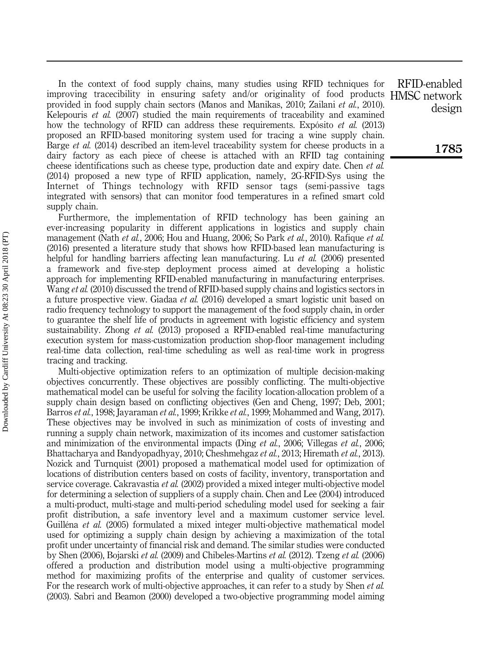In the context of food supply chains, many studies using RFID techniques for improving tracecibility in ensuring safety and/or originality of food products provided in food supply chain sectors (Manos and Manikas, 2010; Zailani et al., 2010). Kelepouris et al. (2007) studied the main requirements of traceability and examined how the technology of RFID can address these requirements. Expósito *et al.* (2013) proposed an RFID-based monitoring system used for tracing a wine supply chain. Barge *et al.* (2014) described an item-level traceability system for cheese products in a dairy factory as each piece of cheese is attached with an RFID tag containing cheese identifications such as cheese type, production date and expiry date. Chen *et al.* (2014) proposed a new type of RFID application, namely, 2G-RFID-Sys using the Internet of Things technology with RFID sensor tags (semi-passive tags integrated with sensors) that can monitor food temperatures in a refined smart cold supply chain.

Furthermore, the implementation of RFID technology has been gaining an ever-increasing popularity in different applications in logistics and supply chain management (Nath *et al.*, 2006; Hou and Huang, 2006; So Park *et al.*, 2010). Rafique *et al.* (2016) presented a literature study that shows how RFID-based lean manufacturing is helpful for handling barriers affecting lean manufacturing. Lu et al. (2006) presented a framework and five-step deployment process aimed at developing a holistic approach for implementing RFID-enabled manufacturing in manufacturing enterprises. Wang *et al.* (2010) discussed the trend of RFID-based supply chains and logistics sectors in a future prospective view. Giadaa et al. (2016) developed a smart logistic unit based on radio frequency technology to support the management of the food supply chain, in order to guarantee the shelf life of products in agreement with logistic efficiency and system sustainability. Zhong et al. (2013) proposed a RFID-enabled real-time manufacturing execution system for mass-customization production shop-floor management including real-time data collection, real-time scheduling as well as real-time work in progress tracing and tracking.

Multi-objective optimization refers to an optimization of multiple decision-making objectives concurrently. These objectives are possibly conflicting. The multi-objective mathematical model can be useful for solving the facility location-allocation problem of a supply chain design based on conflicting objectives (Gen and Cheng, 1997; Deb, 2001; Barros et al., 1998; Jayaraman et al., 1999; Krikke et al., 1999; Mohammed and Wang, 2017). These objectives may be involved in such as minimization of costs of investing and running a supply chain network, maximization of its incomes and customer satisfaction and minimization of the environmental impacts (Ding et al., 2006; Villegas et al., 2006; Bhattacharya and Bandyopadhyay, 2010; Cheshmehgaz et al., 2013; Hiremath et al., 2013). Nozick and Turnquist (2001) proposed a mathematical model used for optimization of locations of distribution centers based on costs of facility, inventory, transportation and service coverage. Cakravastia et al. (2002) provided a mixed integer multi-objective model for determining a selection of suppliers of a supply chain. Chen and Lee (2004) introduced a multi-product, multi-stage and multi-period scheduling model used for seeking a fair profit distribution, a safe inventory level and a maximum customer service level. Guilléna et al. (2005) formulated a mixed integer multi-objective mathematical model used for optimizing a supply chain design by achieving a maximization of the total profit under uncertainty of financial risk and demand. The similar studies were conducted by Shen (2006), Bojarski et al. (2009) and Chibeles-Martins et al. (2012). Tzeng et al. (2006) offered a production and distribution model using a multi-objective programming method for maximizing profits of the enterprise and quality of customer services. For the research work of multi-objective approaches, it can refer to a study by Shen *et al.* (2003). Sabri and Beamon (2000) developed a two-objective programming model aiming

RFID-enabled HMSC network design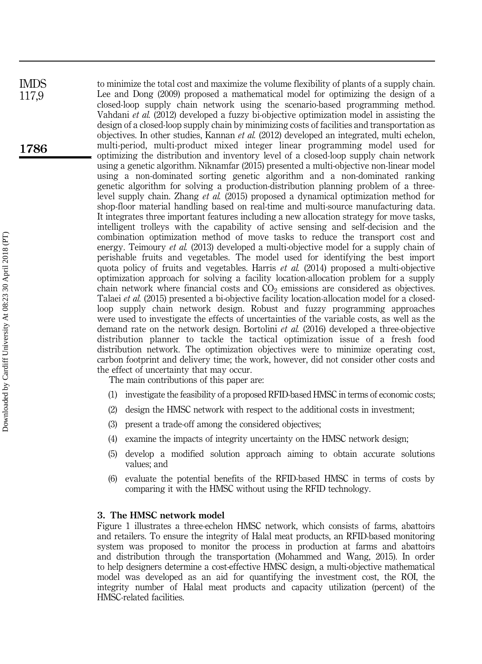to minimize the total cost and maximize the volume flexibility of plants of a supply chain. Lee and Dong (2009) proposed a mathematical model for optimizing the design of a closed-loop supply chain network using the scenario-based programming method. Vahdani et al. (2012) developed a fuzzy bi-objective optimization model in assisting the design of a closed-loop supply chain by minimizing costs of facilities and transportation as objectives. In other studies, Kannan et al. (2012) developed an integrated, multi echelon, multi-period, multi-product mixed integer linear programming model used for optimizing the distribution and inventory level of a closed-loop supply chain network using a genetic algorithm. Niknamfar (2015) presented a multi-objective non-linear model using a non-dominated sorting genetic algorithm and a non-dominated ranking genetic algorithm for solving a production-distribution planning problem of a threelevel supply chain. Zhang et al. (2015) proposed a dynamical optimization method for shop-floor material handling based on real-time and multi-source manufacturing data. It integrates three important features including a new allocation strategy for move tasks, intelligent trolleys with the capability of active sensing and self-decision and the combination optimization method of move tasks to reduce the transport cost and energy. Teimoury *et al.* (2013) developed a multi-objective model for a supply chain of perishable fruits and vegetables. The model used for identifying the best import quota policy of fruits and vegetables. Harris *et al.*  $(2014)$  proposed a multi-objective optimization approach for solving a facility location-allocation problem for a supply chain network where financial costs and  $CO<sub>2</sub>$  emissions are considered as objectives. Talaei et al. (2015) presented a bi-objective facility location-allocation model for a closedloop supply chain network design. Robust and fuzzy programming approaches were used to investigate the effects of uncertainties of the variable costs, as well as the demand rate on the network design. Bortolini et al. (2016) developed a three-objective distribution planner to tackle the tactical optimization issue of a fresh food distribution network. The optimization objectives were to minimize operating cost, carbon footprint and delivery time; the work, however, did not consider other costs and the effect of uncertainty that may occur.

The main contributions of this paper are:

- (1) investigate the feasibility of a proposed RFID-based HMSC in terms of economic costs;
- (2) design the HMSC network with respect to the additional costs in investment;
- (3) present a trade-off among the considered objectives;
- (4) examine the impacts of integrity uncertainty on the HMSC network design;
- (5) develop a modified solution approach aiming to obtain accurate solutions values; and
- (6) evaluate the potential benefits of the RFID-based HMSC in terms of costs by comparing it with the HMSC without using the RFID technology.

#### 3. The HMSC network model

Figure 1 illustrates a three-echelon HMSC network, which consists of farms, abattoirs and retailers. To ensure the integrity of Halal meat products, an RFID-based monitoring system was proposed to monitor the process in production at farms and abattoirs and distribution through the transportation (Mohammed and Wang, 2015). In order to help designers determine a cost-effective HMSC design, a multi-objective mathematical model was developed as an aid for quantifying the investment cost, the ROI, the integrity number of Halal meat products and capacity utilization (percent) of the HMSC-related facilities.

1786

IMDS 117,9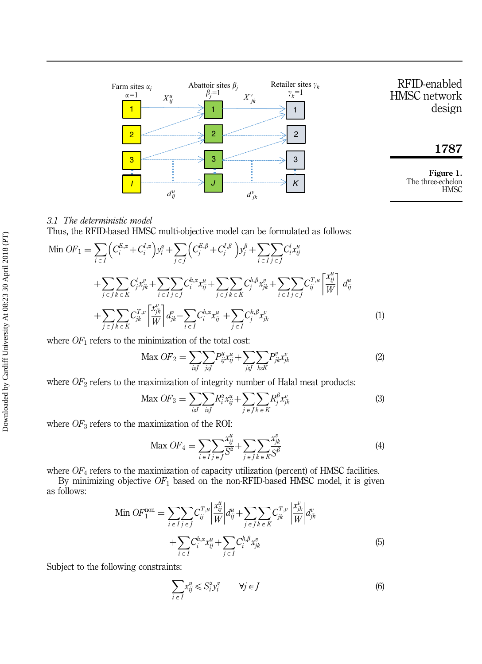

#### 3.1 The deterministic model

Thus, the RFID-based HMSC multi-objective model can be formulated as follows:

Min 
$$
OF_1 = \sum_{i \in I} \left( C_i^{E,x} + C_i^{I,x} \right) y_i^{\alpha} + \sum_{j \in J} \left( C_j^{E,\beta} + C_j^{I,\beta} \right) y_j^{\beta} + \sum_{i \in I} \sum_{j \in J} C_i^t x_{ij}^u
$$
  
 
$$
+ \sum_{j \in J} \sum_{k \in K} C_j^t x_{jk}^v + \sum_{i \in I} \sum_{j \in J} C_i^{h,x} x_{ij}^u + \sum_{j \in J} \sum_{k \in K} C_j^{h,\beta} x_{jk}^v + \sum_{i \in I} \sum_{j \in J} C_{ij}^{T,u} \left[ \frac{x_{ij}^u}{W} \right] d_{ij}^u
$$
  
 
$$
+ \sum_{j \in J} \sum_{k \in K} C_{jk}^{T,v} \left[ \frac{x_{jk}^v}{W} \right] d_{jk}^v - \sum_{i \in I} C_i^{h,x} x_{ij}^u + \sum_{j \in I} C_j^{h,\beta} x_{jk}^v
$$
 (1)

where  $OF_1$  refers to the minimization of the total cost:

$$
\text{Max } OF_2 = \sum_{i \in J} \sum_{j \in J} P_{ij}^{\mu} x_{ij}^{\mu} + \sum_{j \in J} \sum_{k \in K} P_{jk}^{\nu} x_{jk}^{\nu}
$$
 (2)

where  $OF<sub>2</sub>$  refers to the maximization of integrity number of Halal meat products:

$$
\text{Max } OF_3 = \sum_{i \in I} \sum_{i \in J} R_i^x x_{ij}^u + \sum_{j \in J} \sum_{k \in K} R_j^{\beta} x_{jk}^v \tag{3}
$$

where  $OF<sub>3</sub>$  refers to the maximization of the ROI:

$$
\text{Max } OF_4 = \sum_{i \in I} \sum_{j \in J} \frac{x_{ij}^u}{S^{\alpha}} + \sum_{j \in J} \sum_{k \in K} \frac{x_{jk}^v}{S^{\beta}} \tag{4}
$$

where  $OF_4$  refers to the maximization of capacity utilization (percent) of HMSC facilities.

By minimizing objective  $OF_1$  based on the non-RFID-based HMSC model, it is given as follows:

Min 
$$
OF_1^{\text{non}} = \sum_{i \in I} \sum_{j \in J} C_{ij}^{T,u} \left| \frac{x_{ij}^u}{W} \right| d_{ij}^u + \sum_{j \in J} \sum_{k \in K} C_{jk}^{T,v} \left| \frac{x_{jk}^v}{W} \right| d_{jk}^v
$$
  
 
$$
+ \sum_{i \in I} C_i^{h,x} x_{ij}^u + \sum_{j \in I} C_i^{h,\beta} x_{jk}^v
$$
 (5)

Subject to the following constraints:

$$
\sum_{i \in I} x_{ij}^u \leqslant S_i^x y_i^x \qquad \forall j \in J \tag{6}
$$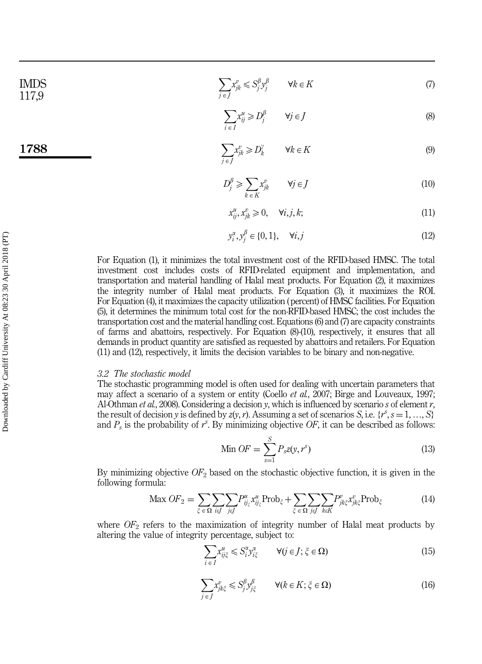$$
\sum_{j \in J} x_{jk}^v \le S_j^{\beta} y_j^{\beta} \qquad \forall k \in K \tag{7}
$$

$$
\sum_{i \in I} x_{ij}^u \ge D_j^\beta \qquad \forall j \in J \tag{8}
$$

$$
\sum_{j \in J} x_{jk}^v \ge D_k^v \qquad \forall k \in K \tag{9}
$$

$$
D_j^{\beta} \geqslant \sum_{k \in K} x_{jk}^v \qquad \forall j \in J \tag{10}
$$

$$
x_{ij}^u, x_{jk}^v \ge 0, \quad \forall i, j, k; \tag{11}
$$

$$
y_i^{\alpha}, y_j^{\beta} \in \{0, 1\}, \quad \forall i, j \tag{12}
$$

For Equation (1), it minimizes the total investment cost of the RFID-based HMSC. The total investment cost includes costs of RFID-related equipment and implementation, and transportation and material handling of Halal meat products. For Equation (2), it maximizes the integrity number of Halal meat products. For Equation (3), it maximizes the ROI. For Equation (4), it maximizes the capacity utilization ( percent) of HMSC facilities. For Equation (5), it determines the minimum total cost for the non-RFID-based HMSC; the cost includes the transportation cost and the material handling cost. Equations (6) and (7) are capacity constraints of farms and abattoirs, respectively. For Equation (8)-(10), respectively, it ensures that all demands in product quantity are satisfied as requested by abattoirs and retailers. For Equation (11) and (12), respectively, it limits the decision variables to be binary and non-negative.

#### 3.2 The stochastic model

The stochastic programming model is often used for dealing with uncertain parameters that may affect a scenario of a system or entity (Coello et al., 2007; Birge and Louveaux, 1997; Al-Othman et al., 2008). Considering a decision y, which is influenced by scenario s of element  $r$ , the result of decision y is defined by  $z(y, r)$ . Assuming a set of scenarios S, i.e.  $\{r^s, s = 1, ..., S\}$ <br>and P, is the probability of  $r^s$ . By minimizing objective OF it can be described as follows: and  $P_s$  is the probability of  $r^s$ . By minimizing objective OF, it can be described as follows:

$$
\text{Min } OF = \sum_{s=1}^{S} P_s z(y, r^s) \tag{13}
$$

By minimizing objective  $OF_2$  based on the stochastic objective function, it is given in the following formula:

$$
\text{Max } OF_2 = \sum_{\xi \in \Omega} \sum_{i\in J} \sum_{j\in J} P_{ij_{\xi}}^{\mu} x_{ij_{\xi}}^{\mu} \text{Prob}_{\xi} + \sum_{\xi \in \Omega} \sum_{j\in J} \sum_{k\in K} P_{jk_{\xi}}^{\nu} x_{jk_{\xi}}^{\nu} \text{Prob}_{\xi} \tag{14}
$$

where  $OF<sub>2</sub>$  refers to the maximization of integrity number of Halal meat products by altering the value of integrity percentage, subject to:

$$
\sum_{i \in I} x_{ij\xi}^u \leqslant S_i^{\alpha} y_{i\xi}^{\alpha} \qquad \forall (j \in J; \xi \in \Omega)
$$
\n(15)

$$
\sum_{j \in J} x_{jk\xi}^v \leqslant S_j^{\beta} y_{j\xi}^{\beta} \qquad \forall (k \in K; \xi \in \Omega)
$$
\n(16)

IMDS 117,9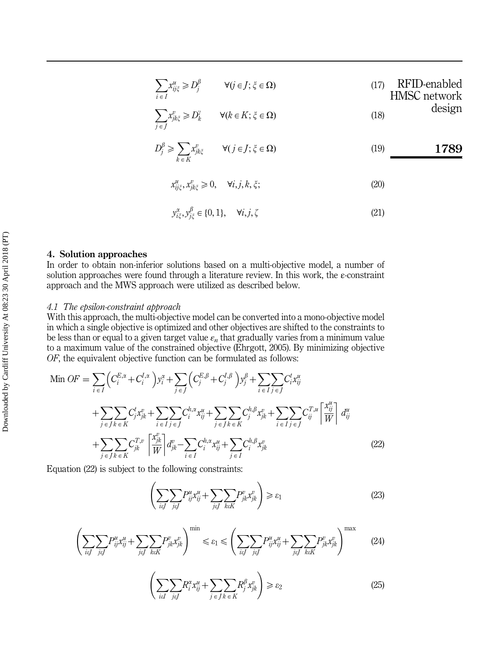$$
\sum_{i \in I} x_{ij\xi}^u \ge D_j^\beta \qquad \forall (j \in J; \xi \in \Omega)
$$
\n(17) RFID-anabeled  
\nHMSC network  
\n
$$
\sum_{i \in I} x_{ij\xi}^v \ge D_k^\gamma \qquad \forall (k \in K; \xi \in \Omega)
$$
\n(18)

$$
\sum_{j \in J} x_{jk\xi}^v \ge D_k^v \qquad \forall (k \in K; \xi \in \Omega)
$$
\n(18)

$$
D_j^{\beta} \ge \sum_{k \in K} x_{jk\zeta}^v \qquad \forall (j \in J; \zeta \in \Omega) \tag{19}
$$

$$
x_{ij\xi}^u, x_{jk\xi}^v \ge 0, \quad \forall i, j, k, \xi; \tag{20}
$$

$$
y_{i\xi}^{\alpha}, y_{j\xi}^{\beta} \in \{0, 1\}, \quad \forall i, j, \zeta \tag{21}
$$

#### 4. Solution approaches

In order to obtain non-inferior solutions based on a multi-objective model, a number of solution approaches were found through a literature review. In this work, the ε-constraint approach and the MWS approach were utilized as described below.

#### 4.1 The epsilon-constraint approach

With this approach, the multi-objective model can be converted into a mono-objective model in which a single objective is optimized and other objectives are shifted to the constraints to be less than or equal to a given target value  $\varepsilon_n$  that gradually varies from a minimum value to a maximum value of the constrained objective (Ehrgott, 2005). By minimizing objective OF, the equivalent objective function can be formulated as follows:

$$
\begin{split} \text{Min } OF &= \sum_{i \in I} \left( C_i^{E, \alpha} + C_i^{I, \alpha} \right) y_i^{\alpha} + \sum_{j \in J} \left( C_j^{E, \beta} + C_j^{I, \beta} \right) y_j^{\beta} + \sum_{i \in I} \sum_{j \in J} C_i^{t} x_{ij}^{\mu} \\ &+ \sum_{j \in J} \sum_{k \in K} C_j^{t} x_{jk}^{\nu} + \sum_{i \in I} \sum_{j \in J} C_i^{h, \alpha} x_{ij}^{\mu} + \sum_{j \in J} \sum_{k \in K} C_j^{h, \beta} x_{jk}^{\nu} + \sum_{i \in I} \sum_{j \in J} C_{ij}^{T, \mu} \left[ \frac{x_{ij}^{\mu}}{W} \right] d_{ij}^{\mu} \\ &+ \sum_{j \in J} \sum_{k \in K} C_{jk}^{T, \nu} \left[ \frac{x_{jk}^{\mu}}{W} \right] d_{jk}^{\nu} - \sum_{i \in I} C_i^{h, \alpha} x_{ij}^{\mu} + \sum_{j \in I} C_i^{h, \beta} x_{jk}^{\nu} \end{split} \tag{22}
$$

Equation (22) is subject to the following constraints:

$$
\left(\sum_{i\in J} \sum_{j\in J} P_{ij}^{\mu} x_{ij}^{\mu} + \sum_{j\in J} \sum_{k\in K} P_{jk}^{\nu} x_{jk}^{\nu}\right) \ge \varepsilon_1
$$
\n(23)

$$
\left(\sum_{i\in J} \sum_{j\in J} P_{ij}^u x_{ij}^u + \sum_{j\in J} \sum_{k\in K} P_{jk}^v x_{jk}^v \right)^{\min} \le \varepsilon_1 \le \left(\sum_{i\in J} \sum_{j\in J} P_{ij}^u x_{ij}^u + \sum_{j\in J} \sum_{k\in K} P_{jk}^v x_{jk}^v \right)^{\max} \tag{24}
$$

$$
\left(\sum_{i\in I} \sum_{j\in J} R_i^{\alpha} x_{ij}^{\mu} + \sum_{j \in J} \sum_{k \in K} R_j^{\beta} x_{jk}^{\nu}\right) \ge \varepsilon_2
$$
\n(25)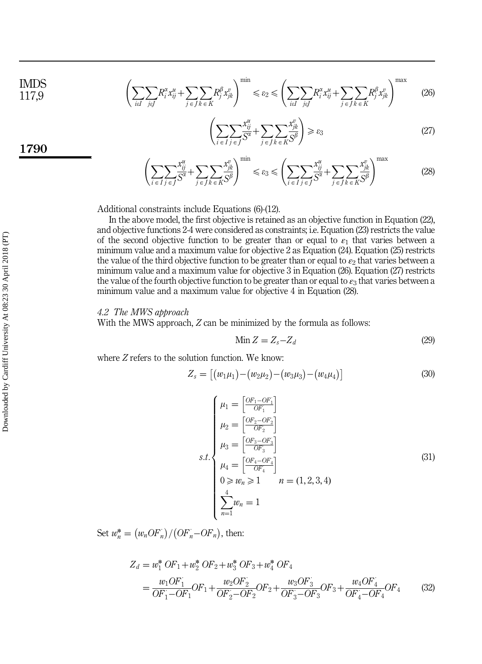IMDS  
117,9 
$$
\left(\sum_{i\in I}\sum_{j\in J}R_i^xx_{ij}^u+\sum_{j\in J}\sum_{k\in K}R_j^{\beta}x_{jk}^v\right)^{\min}\leq \varepsilon_2\leq \left(\sum_{i\in I}\sum_{j\in J}R_i^xx_{ij}^u+\sum_{j\in J}\sum_{k\in K}R_j^{\beta}x_{jk}^v\right)^{\max}
$$
(26)

 $\sum$  $i \in I$  $\sum$  $j \in J$  $x_{ij}^u$  $\frac{x_y}{S^{\alpha}} + \sum_{i \in I}$  $j \in J$  $\sum$  $k \in K$  $x_{jk}^v$  $S^p$  $\left( \sum_{i} x_{ii}^u \right)$  $\geqslant \varepsilon_3$  (27)

$$
\left(\sum_{i\in I}\sum_{j\in J}\frac{x_{ij}^u}{S^{\alpha}}+\sum_{j\in J}\sum_{k\in K}\frac{x_{jk}^v}{S^{\beta}}\right)^{\min} \leq \varepsilon_3 \leq \left(\sum_{i\in I}\sum_{j\in J}\frac{x_{ij}^u}{S^{\alpha}}+\sum_{j\in J}\sum_{k\in K}\frac{x_{jk}^v}{S^{\beta}}\right)^{\max} \tag{28}
$$

Additional constraints include Equations (6)-(12).

In the above model, the first objective is retained as an objective function in Equation (22), and objective functions 2-4 were considered as constraints; i.e. Equation (23) restricts the value of the second objective function to be greater than or equal to  $\varepsilon_1$  that varies between a minimum value and a maximum value for objective 2 as Equation (24). Equation (25) restricts the value of the third objective function to be greater than or equal to  $\varepsilon_2$  that varies between a minimum value and a maximum value for objective 3 in Equation (26). Equation (27) restricts the value of the fourth objective function to be greater than or equal to  $\varepsilon_3$  that varies between a minimum value and a maximum value for objective 4 in Equation (28).

4.2 The MWS approach

With the MWS approach, Z can be minimized by the formula as follows:

$$
\text{Min } Z = Z_s - Z_d \tag{29}
$$

where Z refers to the solution function. We know:

$$
Z_s = [(w_1\mu_1) - (w_2\mu_2) - (w_3\mu_3) - (w_4\mu_4)] \tag{30}
$$

$$
\begin{cases}\n\mu_1 = \frac{[OF_1 - OF_1]}{OF_1} \\
\mu_2 = \frac{[OF_2 - OF_2]}{OF_2} \\
\mu_3 = \frac{[OF_3 - OF_3]}{OF_3} \\
\mu_4 = \frac{[OF_4 - OF_4]}{OF_4} \\
0 \ge w_n \ge 1 \qquad n = (1, 2, 3, 4) \\
\sum_{n=1}^{4} w_n = 1\n\end{cases}
$$
\n(31)

Set  $w_n^* = (w_n OF_n) / (OF_n - OF_n)$ , then:

$$
Z_d = w_1^* \tOF_1 + w_2^* \tOF_2 + w_3^* \tOF_3 + w_4^* \tOF_4
$$
  
= 
$$
\frac{w_1 OF_1}{OF_1 - OF_1} OF_1 + \frac{w_2 OF_2}{OF_2 - OF_2} OF_2 + \frac{w_3 OF_3}{OF_3 - OF_3} OF_3 + \frac{w_4 OF_4}{OF_4 - OF_4} OF_4
$$
 (32)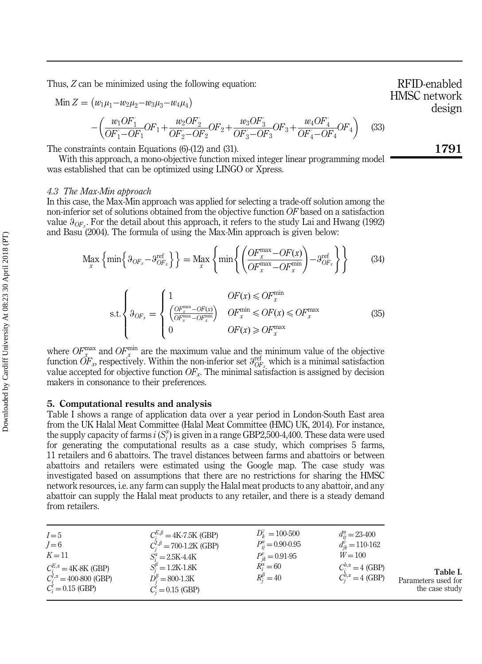Thus, Z can be minimized using the following equation:

Min 
$$
Z = (w_1 \mu_1 - w_2 \mu_2 - w_3 \mu_3 - w_4 \mu_4)
$$
  
\n
$$
- \left( \frac{w_1 OF_1}{OF_1 - OF_1} OF_1 + \frac{w_2 OF_2}{OF_2 - OF_2} OF_2 + \frac{w_3 OF_3}{OF_3 - OF_3} OF_3 + \frac{w_4 OF_4}{OF_4 - OF_4} OF_4 \right) (33)
$$

The constraints contain Equations (6)-(12) and (31).

With this approach, a mono-objective function mixed integer linear programming model was established that can be optimized using LINGO or Xpress.

#### 4.3 The Max-Min approach

In this case, the Max-Min approach was applied for selecting a trade-off solution among the non-inferior set of solutions obtained from the objective function  $OF$  based on a satisfaction value  $\vartheta_{OF}$ . For the detail about this approach, it refers to the study Lai and Hwang (1992) and Basu (2004). The formula of using the Max-Min approach is given below:

$$
\text{Max}_{x} \left\{ \min \left\{ 9_{OF_x} - 9_{OF_x}^{ref} \right\} \right\} = \text{Max}_{x} \left\{ \min \left\{ \left( \frac{OF_x^{\max} - OF(x)}{OF_x^{\max} - OF_x^{\min}} \right) - 9_{OF_x}^{ref} \right\} \right\}
$$
(34)

$$
\text{s.t.} \begin{cases} 1 & \text{OF}(x) \leqslant \text{OF}_x^{\min} \\ \vartheta_{\text{OF}_x} = \begin{cases} \frac{\left(\text{OF}_x^{\max} - \text{OF}_x(x)\right)}{\left(\text{OF}_x^{\max} - \text{OF}_x^{\min}\right)} & \text{OF}_x^{\min} \leqslant \text{OF}(x) \leqslant \text{OF}_x^{\max} \\ 0 & \text{OF}(x) \geqslant \text{OF}_x^{\max} \end{cases} \end{cases} \tag{35}
$$

where  $OF_x^{\text{max}}$  and  $OF_x^{\text{min}}$  are the maximum value and the minimum value of the objective function  $\hat{OF}_x$ , respectively. Within the non-inferior set  $\mathcal{F}_{OF}^{ref}$  which is a minimal satisfaction value accepted for objective function  $OF_x$ . The minimal satisfaction is assigned by decision value accepted for objective function  $OF_x$ . The minimal satisfaction is assigned by decision makers in consonance to their preferences.

#### 5. Computational results and analysis

Table I shows a range of application data over a year period in London-South East area from the UK Halal Meat Committee (Halal Meat Committee (HMC) UK, 2014). For instance, the supply capacity of farms  $i$  ( $S_i^{\alpha}$ ) is given in a range GBP2,500-4,400. These data were used for generating the computational results as a case study, which comprises 5 farms, 11 retailers and 6 abattoirs. The travel distances between farms and abattoirs or between abattoirs and retailers were estimated using the Google map. The case study was investigated based on assumptions that there are no restrictions for sharing the HMSC network resources, i.e. any farm can supply the Halal meat products to any abattoir, and any abattoir can supply the Halal meat products to any retailer, and there is a steady demand from retailers.

| $I = 5$<br>$J=6$<br>$K = 11$<br>$C_i^{E,\alpha} = 4K-8K$ (GBP)<br>$C_i^{I,\alpha} = 400-800$ (GBP)<br>$C_i^t = 0.15$ (GBP) | $C_i^{E,\beta} = 4K-7.5K$ (GBP)<br>$C_i^{I,\beta} = 700-1.2K$ (GBP)<br>$S_i^{\alpha} = 2.5K - 4.4K$<br>$S_i^{\beta} = 1.2K - 1.8K$<br>$D_i^{\beta} = 800-1.3K$<br>$C_i^t = 0.15$ (GBP) | $D_{k}^{\gamma} = 100-500$<br>$P_{ii}^u = 0.90 - 0.95$<br>$P_{ik}^v = 0.91-95$<br>$R_i^{\alpha} = 60$<br>$R_i^{\beta} = 40$ | $d_{ii}^u = 23-400$<br>$d_{ik}^v = 110-162$<br>$W = 100$<br>$C_i^{h,\alpha} = 4$ (GBP)<br>$C_i^{h,\alpha} = 4$ (GBP) | Table I.<br>Parameters used for<br>the case study |
|----------------------------------------------------------------------------------------------------------------------------|----------------------------------------------------------------------------------------------------------------------------------------------------------------------------------------|-----------------------------------------------------------------------------------------------------------------------------|----------------------------------------------------------------------------------------------------------------------|---------------------------------------------------|
|----------------------------------------------------------------------------------------------------------------------------|----------------------------------------------------------------------------------------------------------------------------------------------------------------------------------------|-----------------------------------------------------------------------------------------------------------------------------|----------------------------------------------------------------------------------------------------------------------|---------------------------------------------------|

design

RFID-enabled HMSC network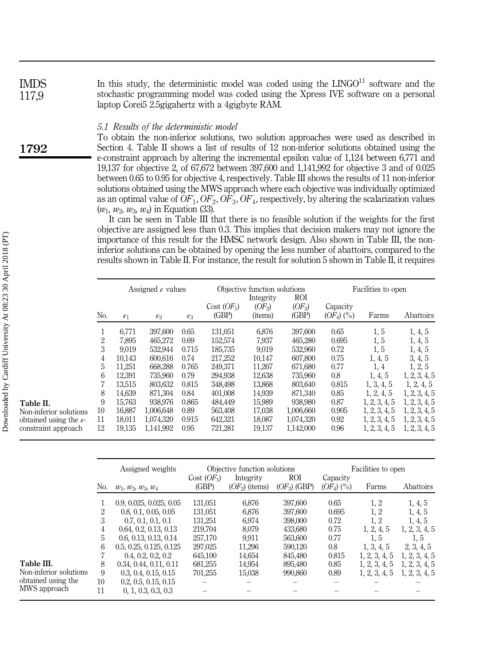In this study, the deterministic model was coded using the  $LINGO<sup>11</sup>$  software and the stochastic programming model was coded using the Xpress IVE software on a personal laptop Corei5 2.5gigahertz with a 4gigbyte RAM.

#### 5.1 Results of the deterministic model

To obtain the non-inferior solutions, two solution approaches were used as described in Section 4. Table II shows a list of results of 12 non-inferior solutions obtained using the ε-constraint approach by altering the incremental epsilon value of 1,124 between 6,771 and 19,137 for objective 2, of 67,672 between 397,600 and 1,141,992 for objective 3 and of 0.025 between 0.65 to 0.95 for objective 4, respectively. Table III shows the results of 11 non-inferior solutions obtained using the MWS approach where each objective was individually optimized as an optimal value of  $OF_1, OF_2, OF_3, OF_4$ , respectively, by altering the scalarization values  $(w_1, w_2, w_3, w_4)$  in Equation (33).

It can be seen in Table III that there is no feasible solution if the weights for the first objective are assigned less than 0.3. This implies that decision makers may not ignore the importance of this result for the HMSC network design. Also shown in Table III, the noninferior solutions can be obtained by opening the less number of abattoirs, compared to the results shown in Table II. For instance, the result for solution 5 shown in Table II, it requires

|                |                 | Assigned $\varepsilon$ values |                 |                       | Objective function solutions<br>Integrity | <b>ROI</b>        | Facilities to open          |               |               |  |  |
|----------------|-----------------|-------------------------------|-----------------|-----------------------|-------------------------------------------|-------------------|-----------------------------|---------------|---------------|--|--|
| No.            | $\varepsilon_1$ | $\varepsilon$ <sub>2</sub>    | $\varepsilon_3$ | $Cost(OF_1)$<br>(GBP) | (OF <sub>2</sub> )<br>(items)             | $(OF_3)$<br>(GBP) | Capacity<br>$(OF_4)$ $(\%)$ | Farms         | Abattoirs     |  |  |
| 1              | 6,771           | 397,600                       | 0.65            | 131,051               | 6,876                                     | 397,600           | 0.65                        | 1, 5          | 1, 4, 5       |  |  |
| $\overline{2}$ | 7.895           | 465.272                       | 0.69            | 152.574               | 7.937                                     | 465.280           | 0.695                       | 1, 5          | 1, 4, 5       |  |  |
| 3              | 9,019           | 532,944                       | 0.715           | 185,735               | 9,019                                     | 532,960           | 0.72                        | 1, 5          | 1, 4, 5       |  |  |
| $\overline{4}$ | 10,143          | 600.616                       | 0.74            | 217,252               | 10,147                                    | 607,800           | 0.75                        | 1, 4, 5       | 3, 4, 5       |  |  |
| 5              | 11.251          | 668,288                       | 0.765           | 249,371               | 11,267                                    | 671,680           | 0.77                        | 1, 4          | 1, 2, 5       |  |  |
| 6              | 12.391          | 735,960                       | 0.79            | 294,938               | 12,638                                    | 735,960           | 0.8                         | 1, 4, 5       | 1, 2, 3, 4, 5 |  |  |
| 7              | 13.515          | 803.632                       | 0.815           | 348,498               | 13,868                                    | 803,640           | 0.815                       | 1, 3, 4, 5    | 1, 2, 4, 5    |  |  |
| 8              | 14.639          | 871.304                       | 0.84            | 401.008               | 14.939                                    | 871.340           | 0.85                        | 1, 2, 4, 5    | 1, 2, 3, 4, 5 |  |  |
| 9              | 15.763          | 938.976                       | 0.865           | 484.449               | 15.989                                    | 938.980           | 0.87                        | 1, 2, 3, 4, 5 | 1, 2, 3, 4, 5 |  |  |
| 10             | 16.887          | 1.006.648                     | 0.89            | 563.408               | 17.038                                    | 1.006.660         | 0.905                       | 1, 2, 3, 4, 5 | 1, 2, 3, 4, 5 |  |  |
| 11             | 18.011          | 1.074.320                     | 0.915           | 642.321               | 18.087                                    | 1,074,320         | 0.92                        | 1, 2, 3, 4, 5 | 1, 2, 3, 4, 5 |  |  |
| 12             | 19,135          | 1,141,992                     | 0.95            | 721,281               | 19,137                                    | 1,142,000         | 0.96                        | 1, 2, 3, 4, 5 | 1, 2, 3, 4, 5 |  |  |
|                |                 |                               |                 |                       |                                           |                   |                             |               |               |  |  |

1792

IMDS 117,9

|                        |     | Assigned weights        |                                 | Objective function solutions |                              | Facilities to open          |               |               |  |  |
|------------------------|-----|-------------------------|---------------------------------|------------------------------|------------------------------|-----------------------------|---------------|---------------|--|--|
|                        | No. | $w_1, w_2, w_3, w_4$    | Cost(OF <sub>1</sub> )<br>(GBP) | Integrity<br>$(OF2)$ (items) | <b>ROI</b><br>$(OF_3)$ (GBP) | Capacity<br>$(OF_4)$ $(\%)$ | Farms         | Abattoirs     |  |  |
|                        |     | 0.9, 0.025, 0.025, 0.05 | 131,051                         | 6,876                        | 397.600                      | 0.65                        | 1, 2          | 1, 4, 5       |  |  |
|                        | 2   | 0.8, 0.1, 0.05, 0.05    | 131,051                         | 6,876                        | 397,600                      | 0.695                       | 1, 2          | 1, 4, 5       |  |  |
|                        | 3   | 0.7, 0.1, 0.1, 0.1      | 131,251                         | 6.974                        | 398,000                      | 0.72                        | 1, 2          | 1, 4, 5       |  |  |
|                        | 4   | 0.64, 0.2, 0.13, 0.13   | 219,704                         | 8,079                        | 433,680                      | 0.75                        | 1, 2, 4, 5    | 1, 2, 3, 4, 5 |  |  |
|                        | 5   | 0.6, 0.13, 0.13, 0.14   | 257,170                         | 9,911                        | 563,600                      | 0.77                        | 1, 5          | 1, 5          |  |  |
|                        | 6   | 0.5, 0.25, 0.125, 0.125 | 297,025                         | 11,296                       | 590.120                      | 0.8                         | 1, 3, 4, 5    | 2, 3, 4, 5    |  |  |
|                        |     | 0.4, 0.2, 0.2, 0.2      | 645,100                         | 14.654                       | 845,480                      | 0.815                       | 1, 2, 3, 4, 5 | 1, 2, 3, 4, 5 |  |  |
| Table III.             | 8   | 0.34, 0.44, 0.11, 0.11  | 681,255                         | 14.954                       | 895.480                      | 0.85                        | 1, 2, 3, 4, 5 | 1, 2, 3, 4, 5 |  |  |
| Non-inferior solutions | 9   | 0.3, 0.4, 0.15, 0.15    | 701,255                         | 15,038                       | 990.860                      | 0.89                        | 1, 2, 3, 4, 5 | 1, 2, 3, 4, 5 |  |  |
| obtained using the     | 10  | 0.2, 0.5, 0.15, 0.15    |                                 |                              |                              |                             |               |               |  |  |
| MWS approach           | 11  | 0, 1, 0.3, 0.3, 0.3     |                                 |                              |                              |                             |               |               |  |  |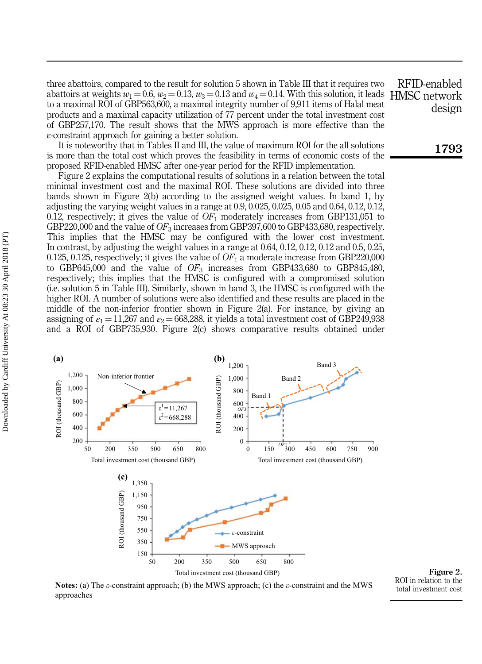three abattoirs, compared to the result for solution 5 shown in Table III that it requires two abattoirs at weights  $w_1 = 0.6$ ,  $w_2 = 0.13$ ,  $w_3 = 0.13$  and  $w_4 = 0.14$ . With this solution, it leads to a maximal ROI of GBP563,600, a maximal integrity number of 9,911 items of Halal meat products and a maximal capacity utilization of 77 percent under the total investment cost of GBP257,170. The result shows that the MWS approach is more effective than the ε-constraint approach for gaining a better solution.

It is noteworthy that in Tables II and III, the value of maximum ROI for the all solutions is more than the total cost which proves the feasibility in terms of economic costs of the proposed RFID-enabled HMSC after one-year period for the RFID implementation.

Figure 2 explains the computational results of solutions in a relation between the total minimal investment cost and the maximal ROI. These solutions are divided into three bands shown in Figure 2(b) according to the assigned weight values. In band 1, by adjusting the varying weight values in a range at 0.9, 0.025, 0.025, 0.05 and 0.64, 0.12, 0.12, 0.12, respectively; it gives the value of  $OF_1$  moderately increases from GBP131,051 to GBP220,000 and the value of  $OF_3$  increases from GBP397,600 to GBP433,680, respectively. This implies that the HMSC may be configured with the lower cost investment. In contrast, by adjusting the weight values in a range at 0.64, 0.12, 0.12, 0.12 and 0.5, 0.25, 0.125, 0.125, respectively; it gives the value of  $OF<sub>1</sub>$  a moderate increase from GBP220,000 to GBP645,000 and the value of  $OF<sub>3</sub>$  increases from GBP433,680 to GBP845,480, respectively; this implies that the HMSC is configured with a compromised solution (i.e. solution 5 in Table III). Similarly, shown in band 3, the HMSC is configured with the higher ROI. A number of solutions were also identified and these results are placed in the middle of the non-inferior frontier shown in Figure 2(a). For instance, by giving an assigning of  $\varepsilon_1 = 11,267$  and  $\varepsilon_2 = 668,288$ , it yields a total investment cost of GBP249,938 and a ROI of GBP735,930. Figure 2(c) shows comparative results obtained under



ROI in relation to the total investment cost

**Notes:** (a) The  $\varepsilon$ -constraint approach; (b) the MWS approach; (c) the  $\varepsilon$ -constraint and the MWS approaches

1793

design

RFID-enabled HMSC network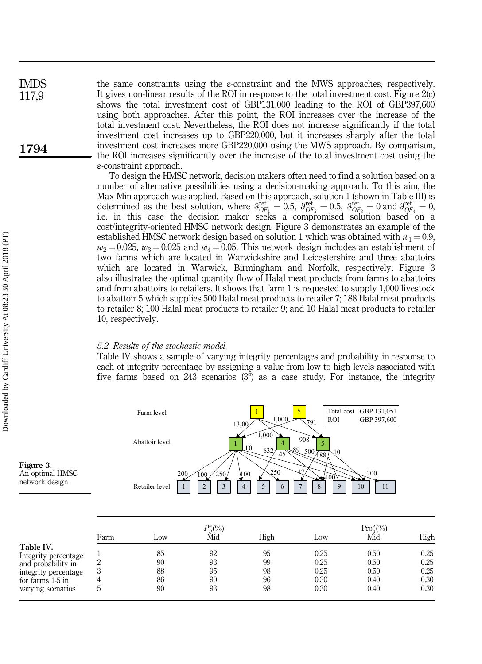the same constraints using the  $\varepsilon$ -constraint and the MWS approaches, respectively. It gives non-linear results of the ROI in response to the total investment cost. Figure 2(c) shows the total investment cost of GBP131,000 leading to the ROI of GBP397,600 using both approaches. After this point, the ROI increases over the increase of the total investment cost. Nevertheless, the ROI does not increase significantly if the total investment cost increases up to GBP220,000, but it increases sharply after the total investment cost increases more GBP220,000 using the MWS approach. By comparison, the ROI increases significantly over the increase of the total investment cost using the ε-constraint approach.

To design the HMSC network, decision makers often need to find a solution based on a number of alternative possibilities using a decision-making approach. To this aim, the Max-Min approach was applied. Based on this approach, solution 1 (shown in Table III) is determined as the best solution, where  $\theta_{OF_1}^{\text{ref}} = 0.5$ ,  $\theta_{OF_2}^{\text{ref}} = 0.5$ ,  $\theta_{OF_3}^{\text{ref}} = 0$  and  $\theta_{OF_4}^{\text{ref}} = 0$ , i.e. in this case the decision maker seeks a compromised solution based on a i.e. in this case the decision maker seeks a compromised solution based on a cost/integrity-oriented HMSC network design. Figure 3 demonstrates an example of the established HMSC network design based on solution 1 which was obtained with  $w_1 = 0.9$ ,  $w_2 = 0.025$ ,  $w_3 = 0.025$  and  $w_4 = 0.05$ . This network design includes an establishment of two farms which are located in Warwickshire and Leicestershire and three abattoirs which are located in Warwick, Birmingham and Norfolk, respectively. Figure 3 also illustrates the optimal quantity flow of Halal meat products from farms to abattoirs and from abattoirs to retailers. It shows that farm 1 is requested to supply 1,000 livestock to abattoir 5 which supplies 500 Halal meat products to retailer 7; 188 Halal meat products to retailer 8; 100 Halal meat products to retailer 9; and 10 Halal meat products to retailer 10, respectively.

#### 5.2 Results of the stochastic model

Table IV shows a sample of varying integrity percentages and probability in response to each of integrity percentage by assigning a value from low to high levels associated with five farms based on 243 scenarios  $(3^5)$  as a case study. For instance, the integrity



| Farm   | LOW | Mid            | High                               | Low            | Mid                  | High                                       |
|--------|-----|----------------|------------------------------------|----------------|----------------------|--------------------------------------------|
|        |     |                |                                    |                |                      | 0.25                                       |
| っ<br>∠ | 90  | 93             | 99                                 | 0.25           | 0.50                 | 0.25                                       |
| 3      |     |                |                                    |                |                      | 0.25<br>0.30                               |
| 5      | 90  | 93             | 98                                 | 0.30           | 0.40                 | 0.30                                       |
|        |     | 85<br>88<br>86 | $P_{ij}^{u}$ (%)<br>92<br>95<br>90 | 95<br>98<br>96 | 0.25<br>0.25<br>0.30 | $Pro_{ii}^{u}(\%)$<br>0.50<br>0.50<br>0.40 |

Figure 3.

network design

IMDS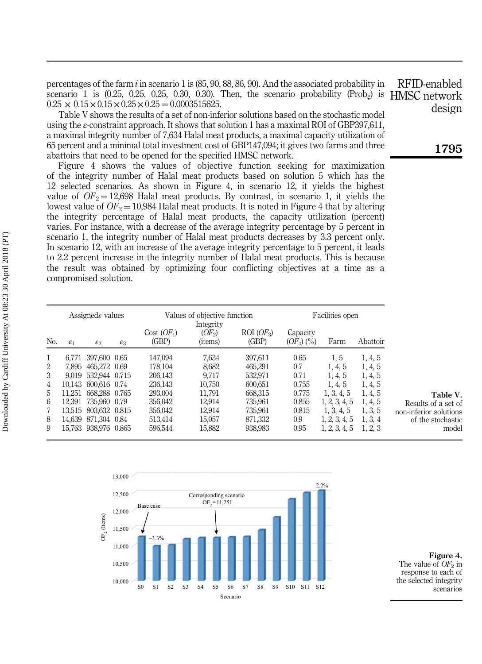percentages of the farm  $i$  in scenario 1 is (85, 90, 88, 86, 90). And the associated probability in scenario 1 is  $(0.25, 0.25, 0.25, 0.30, 0.30)$ . Then, the scenario probability (Prob<sub> $\epsilon$ </sub>) is  $0.25 \times 0.15 \times 0.15 \times 0.25 \times 0.25 = 0.0003515625.$ RFID-enabled HMSC network

Table V shows the results of a set of non-inferior solutions based on the stochastic model using the ε-constraint approach. It shows that solution 1 has a maximal ROI of GBP397,611, a maximal integrity number of 7,634 Halal meat products, a maximal capacity utilization of 65 percent and a minimal total investment cost of GBP147,094; it gives two farms and three abattoirs that need to be opened for the specified HMSC network.

Figure 4 shows the values of objective function seeking for maximization of the integrity number of Halal meat products based on solution 5 which has the 12 selected scenarios. As shown in Figure 4, in scenario 12, it yields the highest value of  $OF_2 = 12,698$  Halal meat products. By contrast, in scenario 1, it yields the lowest value of  $OF_2 = 10,984$  Halal meat products. It is noted in Figure 4 that by altering the integrity percentage of Halal meat products, the capacity utilization (percent) varies. For instance, with a decrease of the average integrity percentage by 5 percent in scenario 1, the integrity number of Halal meat products decreases by 3.3 percent only. In scenario 12, with an increase of the average integrity percentage to 5 percent, it leads to 2.2 percent increase in the integrity number of Halal meat products. This is because the result was obtained by optimizing four conflicting objectives at a time as a compromised solution.

| Assignede values |                 |                                             |                 |                       | Values of objective function<br>Integrity |                                 |                             | Facilities open                |                    |                                               |
|------------------|-----------------|---------------------------------------------|-----------------|-----------------------|-------------------------------------------|---------------------------------|-----------------------------|--------------------------------|--------------------|-----------------------------------------------|
| No.              | $\varepsilon_1$ | $\varepsilon$ 2                             | $\varepsilon_3$ | $Cost(OF_1)$<br>(GBP) | (OF <sub>2</sub> )<br>(items)             | ROI (OF <sub>3</sub> )<br>(GBP) | Capacity<br>$(OF_4)$ $(\%)$ | Farm                           | Abattoir           |                                               |
| $\mathbf{1}$     | 6.771           | 397.600 0.65                                |                 | 147,094               | 7.634                                     | 397,611                         | 0.65                        | 1, 5                           | 1, 4, 5            |                                               |
| 2<br>3           | 7.895           | 465.272 0.69<br>9.019 532.944 0.715         |                 | 178,104<br>206,143    | 8.682<br>9.717                            | 465.291<br>532,971              | 0.7<br>0.71                 | 1, 4, 5<br>1, 4, 5             | 1, 4, 5<br>1, 4, 5 |                                               |
| 4                |                 | 10.143 600.616 0.74                         |                 | 236,143               | 10.750                                    | 600.651                         | 0.755                       | 1, 4, 5                        | 1, 4, 5            |                                               |
| 5<br>6           | 11.251          | 668.288 0.765<br>12.391 735.960 0.79        |                 | 293,004<br>356,042    | 11.791<br>12.914                          | 668,315<br>735.961              | 0.775<br>0.855              | 1, 3, 4, 5<br>1, 2, 3, 4, 5    | 1, 4, 5<br>1, 4, 5 | Table V.                                      |
| 7                |                 | 13.515 803.632 0.815                        |                 | 356,042               | 12.914                                    | 735,961                         | 0.815                       | 1, 3, 4, 5                     | 1, 3, 5            | Results of a set of<br>non-inferior solutions |
| 8<br>9           |                 | 14.639 871.304 0.84<br>15.763 938.976 0.865 |                 | 513,414<br>596,544    | 15,057<br>15,882                          | 871,332<br>938,983              | 0.9<br>0.95                 | 1, 2, 3, 4, 5<br>1, 2, 3, 4, 5 | 1, 3, 4<br>1, 2, 3 | of the stochastic<br>model                    |



The value of  $OF<sub>2</sub>$  in response to each of the selected integrity scenarios

design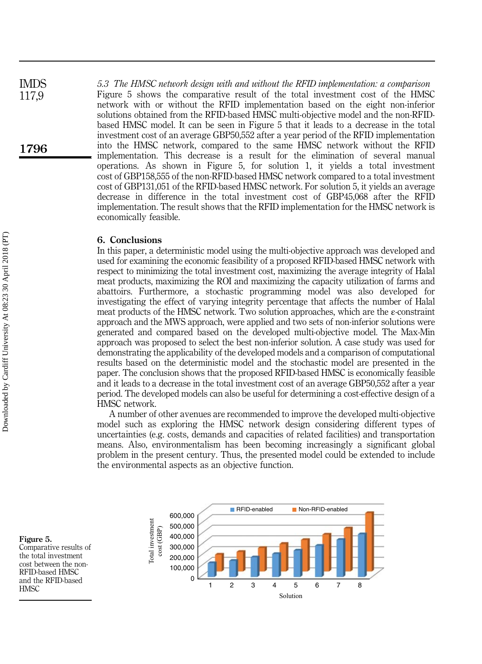5.3 The HMSC network design with and without the RFID implementation: a comparison Figure 5 shows the comparative result of the total investment cost of the HMSC network with or without the RFID implementation based on the eight non-inferior solutions obtained from the RFID-based HMSC multi-objective model and the non-RFIDbased HMSC model. It can be seen in Figure 5 that it leads to a decrease in the total investment cost of an average GBP50,552 after a year period of the RFID implementation into the HMSC network, compared to the same HMSC network without the RFID implementation. This decrease is a result for the elimination of several manual operations. As shown in Figure 5, for solution 1, it yields a total investment cost of GBP158,555 of the non-RFID-based HMSC network compared to a total investment cost of GBP131,051 of the RFID-based HMSC network. For solution 5, it yields an average decrease in difference in the total investment cost of GBP45,068 after the RFID implementation. The result shows that the RFID implementation for the HMSC network is economically feasible.

#### 6. Conclusions

In this paper, a deterministic model using the multi-objective approach was developed and used for examining the economic feasibility of a proposed RFID-based HMSC network with respect to minimizing the total investment cost, maximizing the average integrity of Halal meat products, maximizing the ROI and maximizing the capacity utilization of farms and abattoirs. Furthermore, a stochastic programming model was also developed for investigating the effect of varying integrity percentage that affects the number of Halal meat products of the HMSC network. Two solution approaches, which are the ε-constraint approach and the MWS approach, were applied and two sets of non-inferior solutions were generated and compared based on the developed multi-objective model. The Max-Min approach was proposed to select the best non-inferior solution. A case study was used for demonstrating the applicability of the developed models and a comparison of computational results based on the deterministic model and the stochastic model are presented in the paper. The conclusion shows that the proposed RFID-based HMSC is economically feasible and it leads to a decrease in the total investment cost of an average GBP50,552 after a year period. The developed models can also be useful for determining a cost-effective design of a HMSC network.

A number of other avenues are recommended to improve the developed multi-objective model such as exploring the HMSC network design considering different types of uncertainties (e.g. costs, demands and capacities of related facilities) and transportation means. Also, environmentalism has been becoming increasingly a significant global problem in the present century. Thus, the presented model could be extended to include the environmental aspects as an objective function.



Figure 5. Comparative results of the total investment cost between the non-RFID-based HMSC and the RFID-based **HMSC** 

1796

IMDS 117,9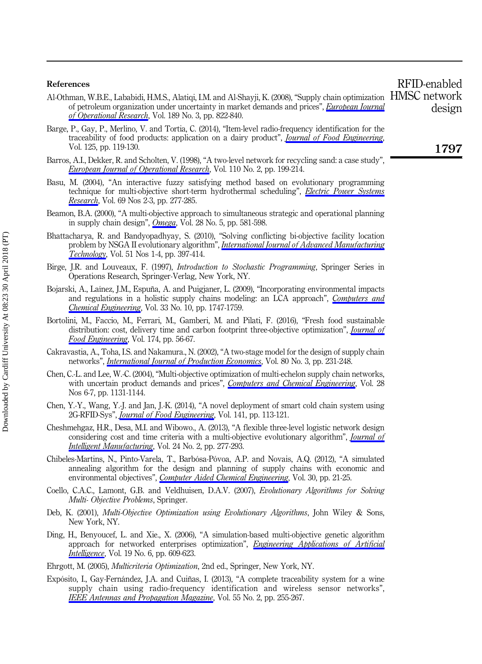#### References

- Al-Othman, W.B.E., Lababidi, H.M.S., Alatiqi, I.M. and Al-Shayji, K. (2008), "Supply chain optimization  $\rm\,HMSC$   $\rm\,network$ of petroleum organization under uncertainty in market demands and prices", *[European Journal](http://www.emeraldinsight.com/action/showLinks?doi=10.1108%2FIMDS-02-2016-0074&crossref=10.1016%2Fj.ejor.2006.06.081&isi=000255432900020&citationId=p_1)* [of Operational Research](http://www.emeraldinsight.com/action/showLinks?doi=10.1108%2FIMDS-02-2016-0074&crossref=10.1016%2Fj.ejor.2006.06.081&isi=000255432900020&citationId=p_1), Vol. 189 No. 3, pp. 822-840.
- Barge, P., Gay, P., Merlino, V. and Tortia, C. (2014), "Item-level radio-frequency identification for the traceability of food products: application on a dairy product", *[Journal of Food Engineering](http://www.emeraldinsight.com/action/showLinks?doi=10.1108%2FIMDS-02-2016-0074&crossref=10.1016%2Fj.jfoodeng.2013.10.019&isi=000328660300015&citationId=p_2)*, Vol. 125, pp. 119-130.
- Barros, A.I., Dekker, R. and Scholten, V. (1998), "A two-level network for recycling sand: a case study", [European Journal of Operational Research](http://www.emeraldinsight.com/action/showLinks?doi=10.1108%2FIMDS-02-2016-0074&crossref=10.1016%2FS0377-2217%2898%2900093-9&isi=000075575200003&citationId=p_3), Vol. 110 No. 2, pp. 199-214.
- Basu, M. (2004), "An interactive fuzzy satisfying method based on evolutionary programming technique for multi-objective short-term hydrothermal scheduling", *[Electric Power Systems](http://www.emeraldinsight.com/action/showLinks?doi=10.1108%2FIMDS-02-2016-0074&crossref=10.1016%2Fj.epsr.2003.10.003&isi=000189134900019&citationId=p_4)* [Research](http://www.emeraldinsight.com/action/showLinks?doi=10.1108%2FIMDS-02-2016-0074&crossref=10.1016%2Fj.epsr.2003.10.003&isi=000189134900019&citationId=p_4), Vol. 69 Nos 2-3, pp. 277-285.
- Beamon, B.A. (2000), "A multi-objective approach to simultaneous strategic and operational planning in supply chain design",  $Omega$ , Vol. 28 No. 5, pp. 581-598.
- Bhattacharya, R. and Bandyopadhyay, S. (2010), "Solving conflicting bi-objective facility location problem by NSGA II evolutionary algorithm", *[International Journal of Advanced Manufacturing](http://www.emeraldinsight.com/action/showLinks?doi=10.1108%2FIMDS-02-2016-0074&crossref=10.1007%2Fs00170-010-2622-6&isi=000283141100034&citationId=p_6)* [Technology](http://www.emeraldinsight.com/action/showLinks?doi=10.1108%2FIMDS-02-2016-0074&crossref=10.1007%2Fs00170-010-2622-6&isi=000283141100034&citationId=p_6), Vol. 51 Nos 1-4, pp. 397-414.
- Birge, J.R. and Louveaux, F. (1997), Introduction to Stochastic Programming, Springer Series in Operations Research, Springer-Verlag, New York, NY.
- Bojarski, A., Laínez, J.M., Espuña, A. and Puigjaner, L. (2009), "Incorporating environmental impacts and regulations in a holistic supply chains modeling: an LCA approach", [Computers and](http://www.emeraldinsight.com/action/showLinks?doi=10.1108%2FIMDS-02-2016-0074&crossref=10.1016%2Fj.compchemeng.2009.04.009&isi=000269991200020&citationId=p_8) [Chemical Engineering](http://www.emeraldinsight.com/action/showLinks?doi=10.1108%2FIMDS-02-2016-0074&crossref=10.1016%2Fj.compchemeng.2009.04.009&isi=000269991200020&citationId=p_8), Vol. 33 No. 10, pp. 1747-1759.
- Bortolini, M., Faccio, M., Ferrari, M., Gamberi, M. and Pilati, F. (2016), "Fresh food sustainable distribution: cost, delivery time and carbon footprint three-objective optimization", *[Journal of](http://www.emeraldinsight.com/action/showLinks?doi=10.1108%2FIMDS-02-2016-0074&crossref=10.1016%2Fj.jfoodeng.2015.11.014&isi=000368752200008&citationId=p_9)* [Food Engineering](http://www.emeraldinsight.com/action/showLinks?doi=10.1108%2FIMDS-02-2016-0074&crossref=10.1016%2Fj.jfoodeng.2015.11.014&isi=000368752200008&citationId=p_9), Vol. 174, pp. 56-67.
- Cakravastia, A., Toha, I.S. and Nakamura., N. (2002), "A two-stage model for the design of supply chain networks", *[International Journal of Production Economics](http://www.emeraldinsight.com/action/showLinks?doi=10.1108%2FIMDS-02-2016-0074&crossref=10.1016%2FS0925-5273%2802%2900260-8&isi=000179335700003&citationId=p_10)*, Vol. 80 No. 3, pp. 231-248.
- Chen, C.-L. and Lee, W.-C. (2004), "Multi-objective optimization of multi-echelon supply chain networks, with uncertain product demands and prices", [Computers and Chemical Engineering](http://www.emeraldinsight.com/action/showLinks?doi=10.1108%2FIMDS-02-2016-0074&crossref=10.1016%2Fj.compchemeng.2003.09.014&isi=000221418000021&citationId=p_11), Vol. 28 Nos 6-7, pp. 1131-1144.
- Chen, Y.-Y., Wang, Y.-J. and Jan, J.-K. (2014), "A novel deployment of smart cold chain system using 2G-RFID-Sys", *[Journal of Food Engineering](http://www.emeraldinsight.com/action/showLinks?doi=10.1108%2FIMDS-02-2016-0074&crossref=10.1016%2Fj.jfoodeng.2014.05.014&isi=000339533400015&citationId=p_12)*, Vol. 141, pp. 113-121.
- Cheshmehgaz, H.R., Desa, M.I. and Wibowo., A. (2013), "A flexible three-level logistic network design considering cost and time criteria with a multi-objective evolutionary algorithm", *[Journal of](http://www.emeraldinsight.com/action/showLinks?doi=10.1108%2FIMDS-02-2016-0074&crossref=10.1007%2Fs10845-011-0584-7&isi=000316689000006&citationId=p_13)* [Intelligent Manufacturing](http://www.emeraldinsight.com/action/showLinks?doi=10.1108%2FIMDS-02-2016-0074&crossref=10.1007%2Fs10845-011-0584-7&isi=000316689000006&citationId=p_13), Vol. 24 No. 2, pp. 277-293.
- Chibeles-Martins, N., Pinto-Varela, T., Barbósa-Póvoa, A.P. and Novais, A.Q. (2012), "A simulated annealing algorithm for the design and planning of supply chains with economic and environmental objectives", *[Computer Aided Chemical Engineering](http://www.emeraldinsight.com/action/showLinks?doi=10.1108%2FIMDS-02-2016-0074&crossref=10.1016%2FB978-0-444-59519-5.50005-8&citationId=p_14)*, Vol. 30, pp. 21-25.
- Coello, C.A.C., Lamont, G.B. and Veldhuisen, D.A.V. (2007), Evolutionary Algorithms for Solving Multi- Objective Problems, Springer.
- Deb, K. (2001), *Multi-Objective Optimization using Evolutionary Algorithms*, John Wiley & Sons, New York, NY.
- Ding, H., Benyoucef, L. and Xie., X. (2006), "A simulation-based multi-objective genetic algorithm approach for networked enterprises optimization", *[Engineering Applications of Artificial](http://www.emeraldinsight.com/action/showLinks?doi=10.1108%2FIMDS-02-2016-0074&crossref=10.1016%2Fj.engappai.2005.12.008&isi=000240857500004&citationId=p_17) [Intelligence](http://www.emeraldinsight.com/action/showLinks?doi=10.1108%2FIMDS-02-2016-0074&crossref=10.1016%2Fj.engappai.2005.12.008&isi=000240857500004&citationId=p_17)*, Vol. 19 No. 6, pp. 609-623.

Ehrgott, M. (2005), Multicriteria Optimization, 2nd ed., Springer, New York, NY.

Expósito, I., Gay-Fernández, J.A. and Cuiñas, I. (2013), "A complete traceability system for a wine supply chain using radio-frequency identification and wireless sensor networks", [IEEE Antennas and Propagation Magazine](http://www.emeraldinsight.com/action/showLinks?doi=10.1108%2FIMDS-02-2016-0074&crossref=10.1109%2FMAP.2013.6529365&isi=000324264100026&citationId=p_19), Vol. 55 No. 2, pp. 255-267.

1797

design

RFID-enabled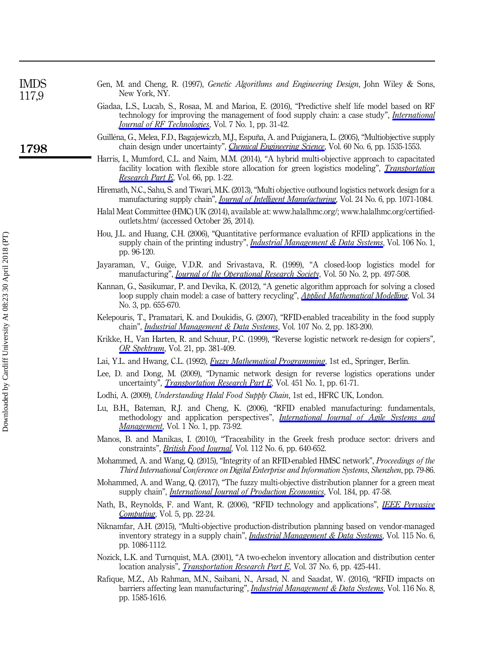|  |               |  |  | Gen, M. and Cheng, R. (1997), <i>Genetic Algorithms and Engineering Design</i> , John Wiley & Sons, |  |  |  |
|--|---------------|--|--|-----------------------------------------------------------------------------------------------------|--|--|--|
|  | New York, NY. |  |  |                                                                                                     |  |  |  |

- Giadaa, L.S., Lucab, S., Rosaa, M. and Marioa, E. (2016), "Predictive shelf life model based on RF technology for improving the management of food supply chain: a case study", *[International](http://www.emeraldinsight.com/action/showLinks?doi=10.1108%2FIMDS-02-2016-0074&crossref=10.3233%2FRFT-150073&isi=000372789900002&citationId=p_21)* [Journal of RF Technologies](http://www.emeraldinsight.com/action/showLinks?doi=10.1108%2FIMDS-02-2016-0074&crossref=10.3233%2FRFT-150073&isi=000372789900002&citationId=p_21), Vol. 7 No. 1, pp. 31-42.
- Guilléna, G., Melea, F.D., Bagajewiczb, M.J., Espuña, A. and Puigjanera, L. (2005), "Multiobjective supply chain design under uncertainty", *[Chemical Engineering Science](http://www.emeraldinsight.com/action/showLinks?doi=10.1108%2FIMDS-02-2016-0074&crossref=10.1016%2Fj.ces.2004.10.023&isi=000227293600005&citationId=p_22)*, Vol. 60 No. 6, pp. 1535-1553.
- Harris, I., Mumford, C.L. and Naim, M.M. (2014), "A hybrid multi-objective approach to capacitated facility location with flexible store allocation for green logistics modeling", *[Transportation](http://www.emeraldinsight.com/action/showLinks?doi=10.1108%2FIMDS-02-2016-0074&crossref=10.1016%2Fj.tre.2014.01.010&isi=000336822400001&citationId=p_23)* [Research Part E](http://www.emeraldinsight.com/action/showLinks?doi=10.1108%2FIMDS-02-2016-0074&crossref=10.1016%2Fj.tre.2014.01.010&isi=000336822400001&citationId=p_23), Vol. 66, pp. 1-22.
- Hiremath, N.C., Sahu, S. and Tiwari, M.K. (2013), "Multi objective outbound logistics network design for a manufacturing supply chain", *[Journal of Intelligent Manufacturing](http://www.emeraldinsight.com/action/showLinks?doi=10.1108%2FIMDS-02-2016-0074&crossref=10.1007%2Fs10845-012-0635-8&isi=000326297800001&citationId=p_24)*, Vol. 24 No. 6, pp. 1071-1084.
- Halal Meat Committee (HMC) UK (2014), available at: [www.halalhmc.org/;](www.halalhmc.org/) [www.halalhmc.org/certified](www.halalhmc.org/certified-outlets.htm/)[outlets.htm/](www.halalhmc.org/certified-outlets.htm/) (accessed October 26, 2014).
- Hou, J.L. and Huang, C.H. (2006), "Quantitative performance evaluation of RFID applications in the supply chain of the printing industry", *[Industrial Management & Data Systems](http://www.emeraldinsight.com/action/showLinks?doi=10.1108%2FIMDS-02-2016-0074&system=10.1108%2F02635570610641013&isi=000237547900006&citationId=p_26)*, Vol. 106 No. 1, pp. 96-120.
- Jayaraman, V., Guige, V.D.R. and Srivastava, R. (1999), "A closed-loop logistics model for manufacturing", *[Journal of the Operational Research Society](http://www.emeraldinsight.com/action/showLinks?doi=10.1108%2FIMDS-02-2016-0074&crossref=10.1057%2Fpalgrave.jors.2600716&citationId=p_27)*, Vol. 50 No. 2, pp. 497-508.
- Kannan, G., Sasikumar, P. and Devika, K. (2012), "A genetic algorithm approach for solving a closed loop supply chain model: a case of battery recycling", *[Applied Mathematical Modelling](http://www.emeraldinsight.com/action/showLinks?doi=10.1108%2FIMDS-02-2016-0074&crossref=10.1016%2Fj.apm.2009.06.021&isi=000272065400012&citationId=p_28)*, Vol. 34 No. 3, pp. 655-670.
- Kelepouris, T., Pramatari, K. and Doukidis, G. (2007), "RFID-enabled traceability in the food supply chain", *[Industrial Management & Data Systems](http://www.emeraldinsight.com/action/showLinks?doi=10.1108%2FIMDS-02-2016-0074&system=10.1108%2F02635570710723804&isi=000245771000012&citationId=p_29)*, Vol. 107 No. 2, pp. 183-200.
- Krikke, H., Van Harten, R. and Schuur, P.C. (1999), "Reverse logistic network re-design for copiers", [OR Spektrum](http://www.emeraldinsight.com/action/showLinks?doi=10.1108%2FIMDS-02-2016-0074&crossref=10.1007%2Fs002910050095&citationId=p_30), Vol. 21, pp. 381-409.
- Lai, Y.L. and Hwang, C.L. (1992), *[Fuzzy Mathematical Programming](http://www.emeraldinsight.com/action/showLinks?doi=10.1108%2FIMDS-02-2016-0074&crossref=10.1007%2F978-3-642-48753-8&citationId=p_31)*, 1st ed., Springer, Berlin.
- Lee, D. and Dong, M. (2009), "Dynamic network design for reverse logistics operations under uncertainty", *[Transportation Research Part E](http://www.emeraldinsight.com/action/showLinks?doi=10.1108%2FIMDS-02-2016-0074&crossref=10.1016%2Fj.tre.2008.08.002&citationId=p_32)*, Vol. 451 No. 1, pp. 61-71.
- Lodhi, A. (2009), Understanding Halal Food Supply Chain, 1st ed., HFRC UK, London.
- Lu, B.H., Bateman, R.J. and Cheng, K. (2006), "RFID enabled manufacturing: fundamentals, methodology and application perspectives", *[International Journal of Agile Systems and](http://www.emeraldinsight.com/action/showLinks?doi=10.1108%2FIMDS-02-2016-0074&crossref=10.1504%2FIJASM.2006.008860&citationId=p_34)* [Management](http://www.emeraldinsight.com/action/showLinks?doi=10.1108%2FIMDS-02-2016-0074&crossref=10.1504%2FIJASM.2006.008860&citationId=p_34), Vol. 1 No. 1, pp. 73-92.
- Manos, B. and Manikas, I. (2010), "Traceability in the Greek fresh produce sector: drivers and constraints", [British Food Journal](http://www.emeraldinsight.com/action/showLinks?doi=10.1108%2FIMDS-02-2016-0074&system=10.1108%2F00070701011052727&isi=000281181300007&citationId=p_35), Vol. 112 No. 6, pp. 640-652.
- Mohammed, A. and Wang, Q. (2015), "Integrity of an RFID-enabled HMSC network", Proceedings of the Third International Conference on Digital Enterprise and Information Systems, Shenzhen, pp. 79-86.
- Mohammed, A. and Wang, Q. (2017), "The fuzzy multi-objective distribution planner for a green meat supply chain", *[International Journal of Production Economics](http://www.emeraldinsight.com/action/showLinks?doi=10.1108%2FIMDS-02-2016-0074&crossref=10.1016%2Fj.ijpe.2016.11.016&isi=000392044300005&citationId=p_37)*, Vol. 184, pp. 47-58.
- Nath, B., Reynolds, F. and Want, R. (2006), "RFID technology and applications", *[IEEE Pervasive](http://www.emeraldinsight.com/action/showLinks?doi=10.1108%2FIMDS-02-2016-0074&crossref=10.1109%2FMPRV.2006.13&isi=000235483400005&citationId=p_38)* [Computing](http://www.emeraldinsight.com/action/showLinks?doi=10.1108%2FIMDS-02-2016-0074&crossref=10.1109%2FMPRV.2006.13&isi=000235483400005&citationId=p_38), Vol. 5, pp. 22-24.
- Niknamfar, A.H. (2015), "Multi-objective production-distribution planning based on vendor-managed inventory strategy in a supply chain", *[Industrial Management & Data Systems](http://www.emeraldinsight.com/action/showLinks?doi=10.1108%2FIMDS-02-2016-0074&system=10.1108%2FIMDS-03-2015-0073&isi=000359055200006&citationId=p_39)*, Vol. 115 No. 6, pp. 1086-1112.
- Nozick, L.K. and Turnquist, M.A. (2001), "A two-echelon inventory allocation and distribution center location analysis", *[Transportation Research Part E](http://www.emeraldinsight.com/action/showLinks?doi=10.1108%2FIMDS-02-2016-0074&crossref=10.1016%2FS1366-5545%2801%2900007-2&isi=000171899500003&citationId=p_40)*, Vol. 37 No. 6, pp. 425-441.
- Rafique, M.Z., Ab Rahman, M.N., Saibani, N., Arsad, N. and Saadat, W. (2016), "RFID impacts on barriers affecting lean manufacturing", *[Industrial Management & Data Systems](http://www.emeraldinsight.com/action/showLinks?doi=10.1108%2FIMDS-02-2016-0074&system=10.1108%2FIMDS-10-2015-0427&isi=000386139300008&citationId=p_41)*, Vol. 116 No. 8, pp. 1585-1616.

IMDS 117,9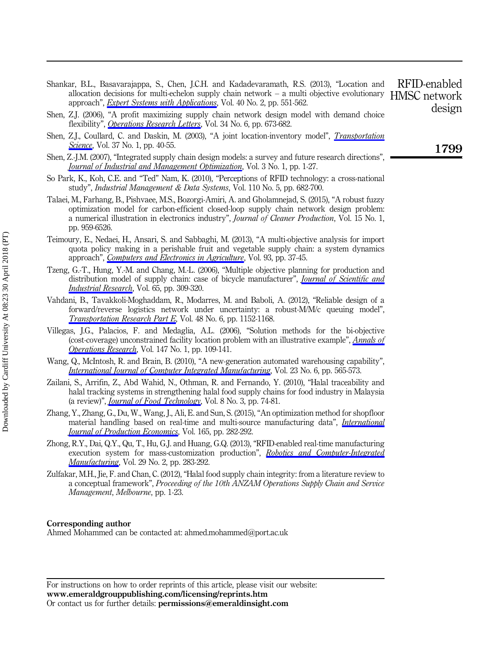- Shankar, B.L., Basavarajappa, S., Chen, J.C.H. and Kadadevaramath, R.S. (2013), "Location and allocation decisions for multi-echelon supply chain network  $-$  a multi-objective evolutionary approach", [Expert Systems with Applications](http://www.emeraldinsight.com/action/showLinks?doi=10.1108%2FIMDS-02-2016-0074&crossref=10.1016%2Fj.eswa.2012.07.065&isi=000310945000017&citationId=p_42), Vol. 40 No. 2, pp. 551-562. RFID-enabled HMSC network design
- Shen, Z.J. (2006), "A profit maximizing supply chain network design model with demand choice flexibility", [Operations Research Letters](http://www.emeraldinsight.com/action/showLinks?doi=10.1108%2FIMDS-02-2016-0074&crossref=10.1016%2Fj.orl.2005.10.006&isi=000240372900010&citationId=p_43), Vol. 34 No. 6, pp. 673-682.
- Shen, Z.J., Coullard, C. and Daskin, M. (2003), "A joint location-inventory model", *[Transportation](http://www.emeraldinsight.com/action/showLinks?doi=10.1108%2FIMDS-02-2016-0074&crossref=10.1287%2Ftrsc.37.1.40.12823&isi=000185773500003&citationId=p_44)* [Science](http://www.emeraldinsight.com/action/showLinks?doi=10.1108%2FIMDS-02-2016-0074&crossref=10.1287%2Ftrsc.37.1.40.12823&isi=000185773500003&citationId=p_44), Vol. 37 No. 1, pp. 40-55.
- Shen, Z.-J.M. (2007), "Integrated supply chain design models: a survey and future research directions", [Journal of Industrial and Management Optimization](http://www.emeraldinsight.com/action/showLinks?doi=10.1108%2FIMDS-02-2016-0074&crossref=10.3934%2Fjimo.2007.3.1&isi=000244604300002&citationId=p_45), Vol. 3 No. 1, pp. 1-27.
- So Park, K., Koh, C.E. and "Ted" Nam, K. (2010), "Perceptions of RFID technology: a cross-national study", Industrial Management & Data Systems, Vol. 110 No. 5, pp. 682-700.
- Talaei, M., Farhang, B., Pishvaee, M.S., Bozorgi-Amiri, A. and Gholamnejad, S. (2015), "A robust fuzzy optimization model for carbon-efficient closed-loop supply chain network design problem: a numerical illustration in electronics industry", *Journal of Cleaner Production*, Vol. 15 No. 1, pp. 959-6526.
- Teimoury, E., Nedaei, H., Ansari, S. and Sabbaghi, M. (2013), "A multi-objective analysis for import quota policy making in a perishable fruit and vegetable supply chain: a system dynamics approach", [Computers and Electronics in Agriculture](http://www.emeraldinsight.com/action/showLinks?doi=10.1108%2FIMDS-02-2016-0074&crossref=10.1016%2Fj.compag.2013.01.010&isi=000318322400005&citationId=p_48), Vol. 93, pp. 37-45.
- Tzeng, G.-T., Hung, Y.-M. and Chang, M.-L. (2006), "Multiple objective planning for production and distribution model of supply chain: case of bicycle manufacturer", *[Journal of Scientific and](http://www.emeraldinsight.com/action/showLinks?doi=10.1108%2FIMDS-02-2016-0074&isi=000236741900003&citationId=p_49)* [Industrial Research](http://www.emeraldinsight.com/action/showLinks?doi=10.1108%2FIMDS-02-2016-0074&isi=000236741900003&citationId=p_49), Vol. 65, pp. 309-320.
- Vahdani, B., Tavakkoli-Moghaddam, R., Modarres, M. and Baboli, A. (2012), "Reliable design of a forward/reverse logistics network under uncertainty: a robust-M/M/c queuing model", **[Transportation Research Part E](http://www.emeraldinsight.com/action/showLinks?doi=10.1108%2FIMDS-02-2016-0074&crossref=10.1016%2Fj.tre.2012.06.002&isi=000308058100007&citationId=p_50)**, Vol. 48 No. 6, pp. 1152-1168.
- Villegas, J.G., Palacios, F. and Medaglia, A.L. (2006), "Solution methods for the bi-objective (cost-coverage) unconstrained facility location problem with an illustrative example", [Annals of](http://www.emeraldinsight.com/action/showLinks?doi=10.1108%2FIMDS-02-2016-0074&crossref=10.1007%2Fs10479-006-0061-4&isi=000240895100007&citationId=p_51) [Operations Research](http://www.emeraldinsight.com/action/showLinks?doi=10.1108%2FIMDS-02-2016-0074&crossref=10.1007%2Fs10479-006-0061-4&isi=000240895100007&citationId=p_51), Vol. 147 No. 1, pp. 109-141.
- Wang, Q., McIntosh, R. and Brain, B. (2010), "A new-generation automated warehousing capability", [International Journal of Computer Integrated Manufacturing](http://www.emeraldinsight.com/action/showLinks?doi=10.1108%2FIMDS-02-2016-0074&crossref=10.1080%2F09511921003706215&isi=000278001900006&citationId=p_52), Vol. 23 No. 6, pp. 565-573.
- Zailani, S., Arrifin, Z., Abd Wahid, N., Othman, R. and Fernando, Y. (2010), "Halal traceability and halal tracking systems in strengthening halal food supply chains for food industry in Malaysia (a review)", *[Journal of Food Technology](http://www.emeraldinsight.com/action/showLinks?doi=10.1108%2FIMDS-02-2016-0074&crossref=10.3923%2Fjftech.2010.74.81&citationId=p_53)*, Vol. 8 No. 3, pp. 74-81.
- Zhang, Y., Zhang, G., Du, W., Wang, J., Ali, E. and Sun, S. (2015), "An optimization method for shopfloor material handling based on real-time and multi-source manufacturing data", *[International](http://www.emeraldinsight.com/action/showLinks?doi=10.1108%2FIMDS-02-2016-0074&crossref=10.1016%2Fj.ijpe.2014.12.029&isi=000356110400027&citationId=p_54)* **[Journal of Production Economics](http://www.emeraldinsight.com/action/showLinks?doi=10.1108%2FIMDS-02-2016-0074&crossref=10.1016%2Fj.ijpe.2014.12.029&isi=000356110400027&citationId=p_54)**, Vol. 165, pp. 282-292.
- Zhong, R.Y., Dai, Q.Y., Qu, T., Hu, G.J. and Huang, G.Q. (2013), "RFID-enabled real-time manufacturing execution system for mass-customization production", [Robotics and Computer-Integrated](http://www.emeraldinsight.com/action/showLinks?doi=10.1108%2FIMDS-02-2016-0074&crossref=10.1016%2Fj.rcim.2012.08.001&isi=000312172900002&citationId=p_55) [Manufacturing](http://www.emeraldinsight.com/action/showLinks?doi=10.1108%2FIMDS-02-2016-0074&crossref=10.1016%2Fj.rcim.2012.08.001&isi=000312172900002&citationId=p_55), Vol. 29 No. 2, pp. 283-292.
- Zulfakar, M.H., Jie, F. and Chan, C. (2012), "Halal food supply chain integrity: from a literature review to a conceptual framework", Proceeding of the 10th ANZAM Operations Supply Chain and Service Management, Melbourne, pp. 1-23.

#### Corresponding author

Ahmed Mohammed can be contacted at: ahmed.mohammed@port.ac.uk

For instructions on how to order reprints of this article, please visit our website: www.emeraldgrouppublishing.com/licensing/reprints.htm Or contact us for further details: permissions@emeraldinsight.com